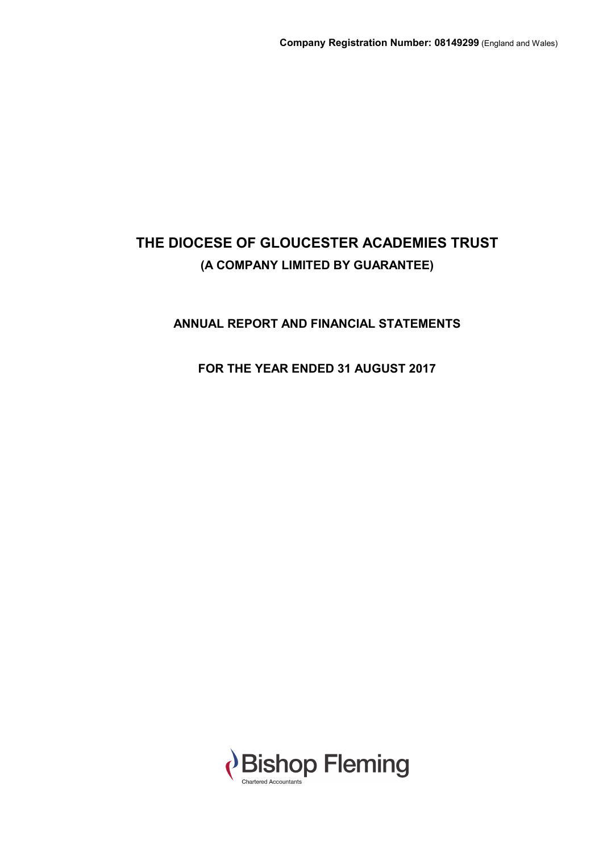# **ANNUAL REPORT AND FINANCIAL STATEMENTS**

# **FOR THE YEAR ENDED 31 AUGUST 2017**

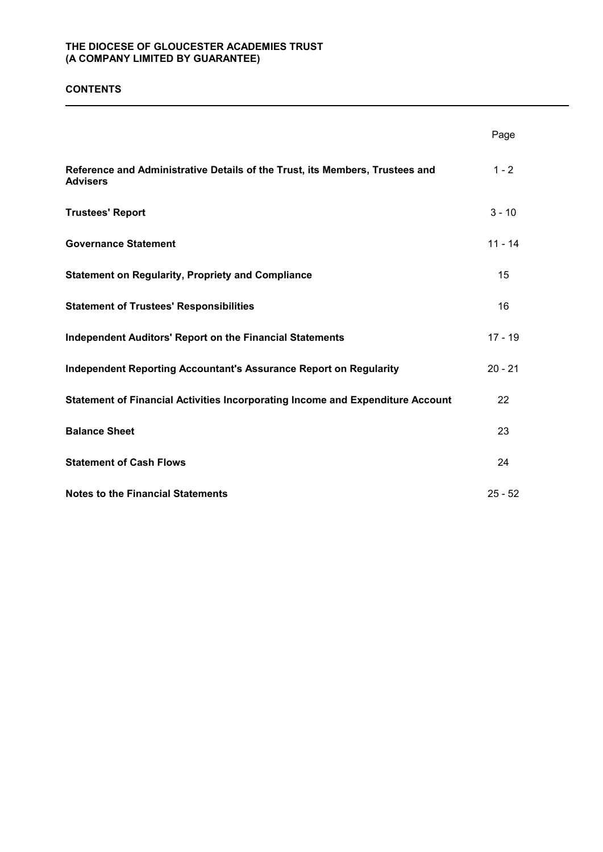### **CONTENTS**

|                                                                                                 | Page      |
|-------------------------------------------------------------------------------------------------|-----------|
| Reference and Administrative Details of the Trust, its Members, Trustees and<br><b>Advisers</b> | $1 - 2$   |
| <b>Trustees' Report</b>                                                                         | $3 - 10$  |
| <b>Governance Statement</b>                                                                     | $11 - 14$ |
| <b>Statement on Regularity, Propriety and Compliance</b>                                        | 15        |
| <b>Statement of Trustees' Responsibilities</b>                                                  | 16        |
| <b>Independent Auditors' Report on the Financial Statements</b>                                 | $17 - 19$ |
| <b>Independent Reporting Accountant's Assurance Report on Regularity</b>                        | $20 - 21$ |
| Statement of Financial Activities Incorporating Income and Expenditure Account                  | 22        |
| <b>Balance Sheet</b>                                                                            | 23        |
| <b>Statement of Cash Flows</b>                                                                  | 24        |
| <b>Notes to the Financial Statements</b>                                                        | $25 - 52$ |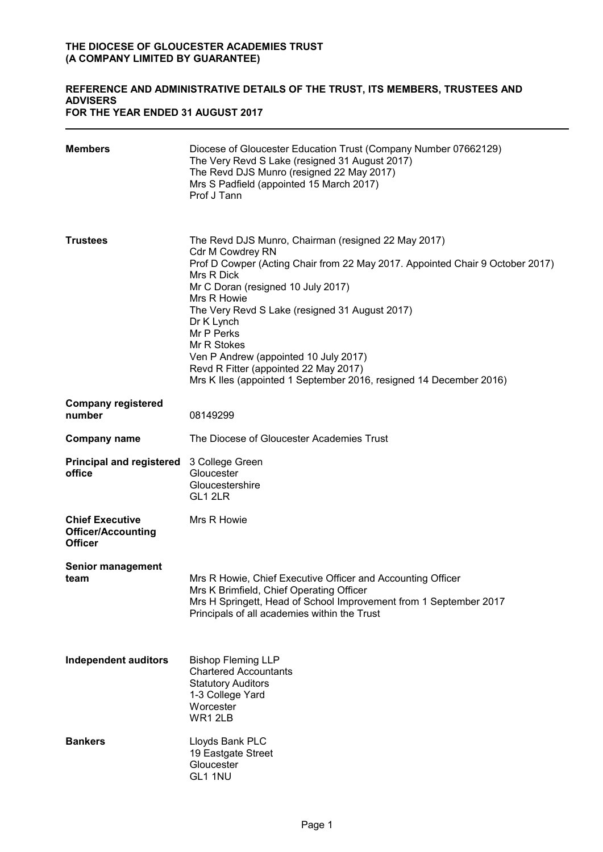### **REFERENCE AND ADMINISTRATIVE DETAILS OF THE TRUST, ITS MEMBERS, TRUSTEES AND ADVISERS FOR THE YEAR ENDED 31 AUGUST 2017**

| <b>Members</b>                                                        | Diocese of Gloucester Education Trust (Company Number 07662129)<br>The Very Revd S Lake (resigned 31 August 2017)<br>The Revd DJS Munro (resigned 22 May 2017)<br>Mrs S Padfield (appointed 15 March 2017)<br>Prof J Tann                                                                                                                                                                                                                                                               |
|-----------------------------------------------------------------------|-----------------------------------------------------------------------------------------------------------------------------------------------------------------------------------------------------------------------------------------------------------------------------------------------------------------------------------------------------------------------------------------------------------------------------------------------------------------------------------------|
| <b>Trustees</b>                                                       | The Revd DJS Munro, Chairman (resigned 22 May 2017)<br><b>Cdr M Cowdrey RN</b><br>Prof D Cowper (Acting Chair from 22 May 2017. Appointed Chair 9 October 2017)<br>Mrs R Dick<br>Mr C Doran (resigned 10 July 2017)<br>Mrs R Howie<br>The Very Revd S Lake (resigned 31 August 2017)<br>Dr K Lynch<br>Mr P Perks<br>Mr R Stokes<br>Ven P Andrew (appointed 10 July 2017)<br>Revd R Fitter (appointed 22 May 2017)<br>Mrs K lles (appointed 1 September 2016, resigned 14 December 2016) |
| <b>Company registered</b><br>number                                   | 08149299                                                                                                                                                                                                                                                                                                                                                                                                                                                                                |
| <b>Company name</b>                                                   | The Diocese of Gloucester Academies Trust                                                                                                                                                                                                                                                                                                                                                                                                                                               |
| <b>Principal and registered</b><br>office                             | 3 College Green<br>Gloucester<br>Gloucestershire<br>GL1 2LR                                                                                                                                                                                                                                                                                                                                                                                                                             |
| <b>Chief Executive</b><br><b>Officer/Accounting</b><br><b>Officer</b> | Mrs R Howie                                                                                                                                                                                                                                                                                                                                                                                                                                                                             |
| <b>Senior management</b><br>team                                      | Mrs R Howie, Chief Executive Officer and Accounting Officer<br>Mrs K Brimfield, Chief Operating Officer<br>Mrs H Springett, Head of School Improvement from 1 September 2017<br>Principals of all academies within the Trust                                                                                                                                                                                                                                                            |
| <b>Independent auditors</b>                                           | <b>Bishop Fleming LLP</b><br><b>Chartered Accountants</b><br><b>Statutory Auditors</b><br>1-3 College Yard<br>Worcester<br>WR12LB                                                                                                                                                                                                                                                                                                                                                       |
| <b>Bankers</b>                                                        | Lloyds Bank PLC<br>19 Eastgate Street<br>Gloucester<br>GL1 1NU                                                                                                                                                                                                                                                                                                                                                                                                                          |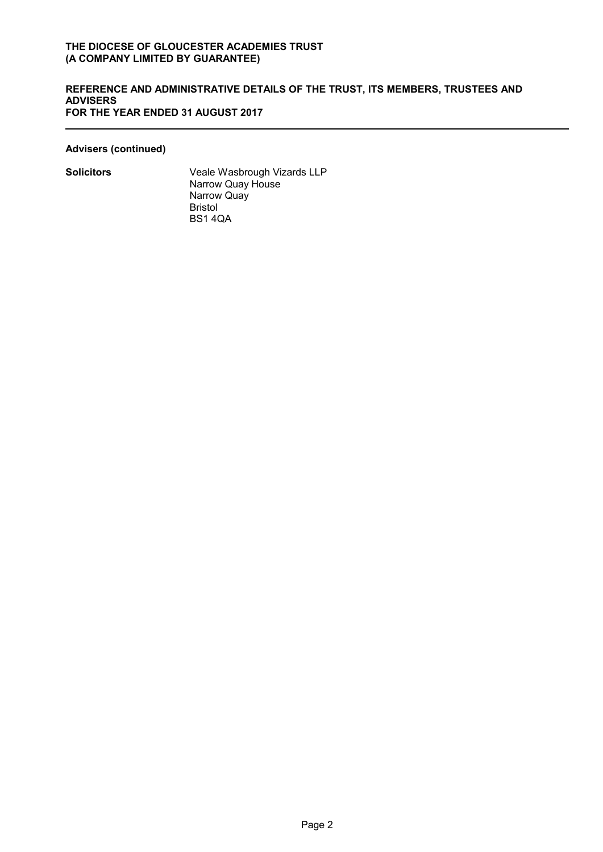### **REFERENCE AND ADMINISTRATIVE DETAILS OF THE TRUST, ITS MEMBERS, TRUSTEES AND ADVISERS FOR THE YEAR ENDED 31 AUGUST 2017**

### **Advisers (continued)**

**Solicitors** Veale Wasbrough Vizards LLP Narrow Quay House Narrow Quay Bristol BS1 4QA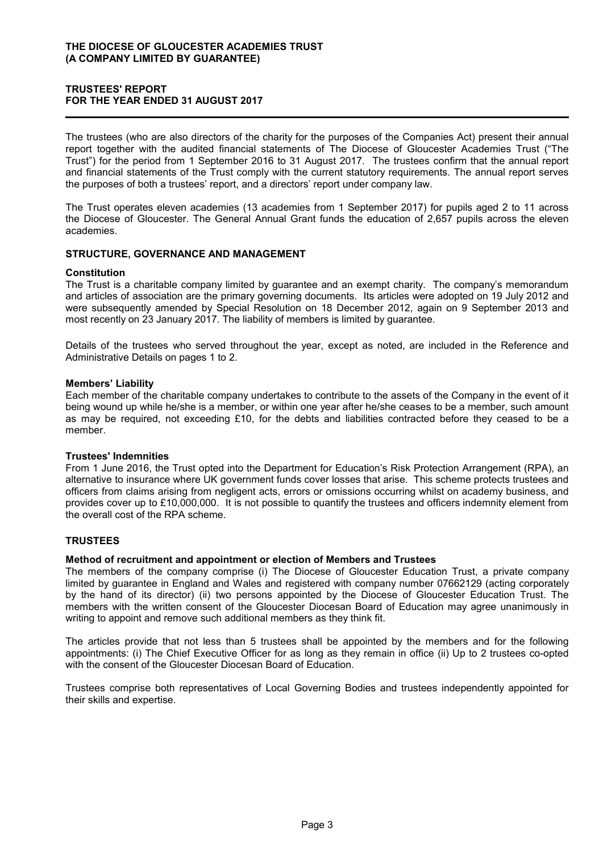### **TRUSTEES' REPORT FOR THE YEAR ENDED 31 AUGUST 2017**

The trustees (who are also directors of the charity for the purposes of the Companies Act) present their annual report together with the audited financial statements of The Diocese of Gloucester Academies Trust ("The Trust") for the period from 1 September 2016 to 31 August 2017. The trustees confirm that the annual report and financial statements of the Trust comply with the current statutory requirements. The annual report serves the purposes of both a trustees' report, and a directors' report under company law.

The Trust operates eleven academies (13 academies from 1 September 2017) for pupils aged 2 to 11 across the Diocese of Gloucester. The General Annual Grant funds the education of 2,657 pupils across the eleven academies.

### **STRUCTURE, GOVERNANCE AND MANAGEMENT**

#### **Constitution**

The Trust is a charitable company limited by guarantee and an exempt charity. The company's memorandum and articles of association are the primary governing documents. Its articles were adopted on 19 July 2012 and were subsequently amended by Special Resolution on 18 December 2012, again on 9 September 2013 and most recently on 23 January 2017. The liability of members is limited by guarantee.

Details of the trustees who served throughout the year, except as noted, are included in the Reference and Administrative Details on pages 1 to 2.

#### **Members' Liability**

Each member of the charitable company undertakes to contribute to the assets of the Company in the event of it being wound up while he/she is a member, or within one year after he/she ceases to be a member, such amount as may be required, not exceeding £10, for the debts and liabilities contracted before they ceased to be a member.

#### **Trustees' Indemnities**

From 1 June 2016, the Trust opted into the Department for Education's Risk Protection Arrangement (RPA), an alternative to insurance where UK government funds cover losses that arise. This scheme protects trustees and officers from claims arising from negligent acts, errors or omissions occurring whilst on academy business, and provides cover up to £10,000,000. It is not possible to quantify the trustees and officers indemnity element from the overall cost of the RPA scheme.

### **TRUSTEES**

#### **Method of recruitment and appointment or election of Members and Trustees**

The members of the company comprise (i) The Diocese of Gloucester Education Trust, a private company limited by guarantee in England and Wales and registered with company number 07662129 (acting corporately by the hand of its director) (ii) two persons appointed by the Diocese of Gloucester Education Trust. The members with the written consent of the Gloucester Diocesan Board of Education may agree unanimously in writing to appoint and remove such additional members as they think fit.

The articles provide that not less than 5 trustees shall be appointed by the members and for the following appointments: (i) The Chief Executive Officer for as long as they remain in office (ii) Up to 2 trustees co-opted with the consent of the Gloucester Diocesan Board of Education.

Trustees comprise both representatives of Local Governing Bodies and trustees independently appointed for their skills and expertise.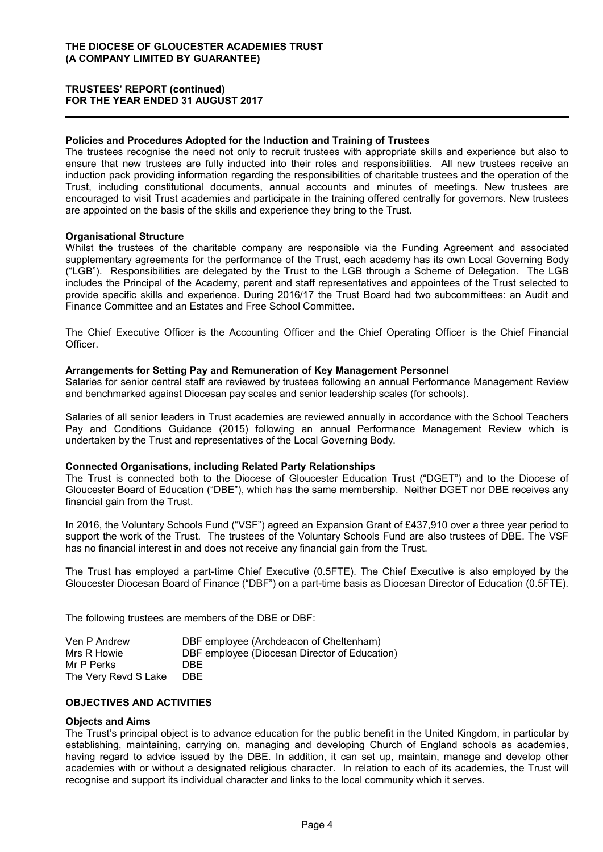#### **Policies and Procedures Adopted for the Induction and Training of Trustees**

The trustees recognise the need not only to recruit trustees with appropriate skills and experience but also to ensure that new trustees are fully inducted into their roles and responsibilities. All new trustees receive an induction pack providing information regarding the responsibilities of charitable trustees and the operation of the Trust, including constitutional documents, annual accounts and minutes of meetings. New trustees are encouraged to visit Trust academies and participate in the training offered centrally for governors. New trustees are appointed on the basis of the skills and experience they bring to the Trust.

#### **Organisational Structure**

Whilst the trustees of the charitable company are responsible via the Funding Agreement and associated supplementary agreements for the performance of the Trust, each academy has its own Local Governing Body ("LGB"). Responsibilities are delegated by the Trust to the LGB through a Scheme of Delegation. The LGB includes the Principal of the Academy, parent and staff representatives and appointees of the Trust selected to provide specific skills and experience. During 2016/17 the Trust Board had two subcommittees: an Audit and Finance Committee and an Estates and Free School Committee.

The Chief Executive Officer is the Accounting Officer and the Chief Operating Officer is the Chief Financial Officer.

#### **Arrangements for Setting Pay and Remuneration of Key Management Personnel**

Salaries for senior central staff are reviewed by trustees following an annual Performance Management Review and benchmarked against Diocesan pay scales and senior leadership scales (for schools).

Salaries of all senior leaders in Trust academies are reviewed annually in accordance with the School Teachers Pay and Conditions Guidance (2015) following an annual Performance Management Review which is undertaken by the Trust and representatives of the Local Governing Body.

#### **Connected Organisations, including Related Party Relationships**

The Trust is connected both to the Diocese of Gloucester Education Trust ("DGET") and to the Diocese of Gloucester Board of Education ("DBE"), which has the same membership. Neither DGET nor DBE receives any financial gain from the Trust.

In 2016, the Voluntary Schools Fund ("VSF") agreed an Expansion Grant of £437,910 over a three year period to support the work of the Trust. The trustees of the Voluntary Schools Fund are also trustees of DBE. The VSF has no financial interest in and does not receive any financial gain from the Trust.

The Trust has employed a part-time Chief Executive (0.5FTE). The Chief Executive is also employed by the Gloucester Diocesan Board of Finance ("DBF") on a part-time basis as Diocesan Director of Education (0.5FTE).

The following trustees are members of the DBE or DBF:

| Ven P Andrew         | DBF employee (Archdeacon of Cheltenham)       |
|----------------------|-----------------------------------------------|
| Mrs R Howie          | DBF employee (Diocesan Director of Education) |
| Mr P Perks           | DBE                                           |
| The Very Revd S Lake | DBE.                                          |

### **OBJECTIVES AND ACTIVITIES**

#### **Objects and Aims**

The Trust's principal object is to advance education for the public benefit in the United Kingdom, in particular by establishing, maintaining, carrying on, managing and developing Church of England schools as academies, having regard to advice issued by the DBE. In addition, it can set up, maintain, manage and develop other academies with or without a designated religious character. In relation to each of its academies, the Trust will recognise and support its individual character and links to the local community which it serves.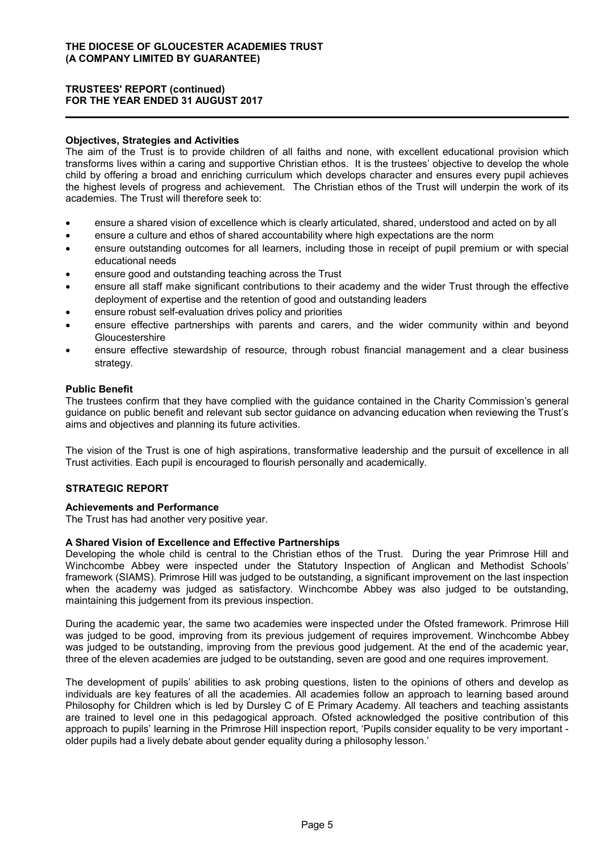#### **Objectives, Strategies and Activities**

The aim of the Trust is to provide children of all faiths and none, with excellent educational provision which transforms lives within a caring and supportive Christian ethos. It is the trustees' objective to develop the whole child by offering a broad and enriching curriculum which develops character and ensures every pupil achieves the highest levels of progress and achievement. The Christian ethos of the Trust will underpin the work of its academies. The Trust will therefore seek to:

- ensure a shared vision of excellence which is clearly articulated, shared, understood and acted on by all
- ensure a culture and ethos of shared accountability where high expectations are the norm
- ensure outstanding outcomes for all learners, including those in receipt of pupil premium or with special educational needs
- ensure good and outstanding teaching across the Trust
- ensure all staff make significant contributions to their academy and the wider Trust through the effective deployment of expertise and the retention of good and outstanding leaders
- ensure robust self-evaluation drives policy and priorities
- ensure effective partnerships with parents and carers, and the wider community within and beyond Gloucestershire
- ensure effective stewardship of resource, through robust financial management and a clear business strategy.

#### **Public Benefit**

The trustees confirm that they have complied with the guidance contained in the Charity Commission's general guidance on public benefit and relevant sub sector guidance on advancing education when reviewing the Trust's aims and objectives and planning its future activities.

The vision of the Trust is one of high aspirations, transformative leadership and the pursuit of excellence in all Trust activities. Each pupil is encouraged to flourish personally and academically.

### **STRATEGIC REPORT**

#### **Achievements and Performance**

The Trust has had another very positive year.

#### **A Shared Vision of Excellence and Effective Partnerships**

Developing the whole child is central to the Christian ethos of the Trust. During the year Primrose Hill and Winchcombe Abbey were inspected under the Statutory Inspection of Anglican and Methodist Schools' framework (SIAMS). Primrose Hill was judged to be outstanding, a significant improvement on the last inspection when the academy was judged as satisfactory. Winchcombe Abbey was also judged to be outstanding, maintaining this judgement from its previous inspection.

During the academic year, the same two academies were inspected under the Ofsted framework. Primrose Hill was judged to be good, improving from its previous judgement of requires improvement. Winchcombe Abbey was judged to be outstanding, improving from the previous good judgement. At the end of the academic year, three of the eleven academies are judged to be outstanding, seven are good and one requires improvement.

The development of pupils' abilities to ask probing questions, listen to the opinions of others and develop as individuals are key features of all the academies. All academies follow an approach to learning based around Philosophy for Children which is led by Dursley C of E Primary Academy. All teachers and teaching assistants are trained to level one in this pedagogical approach. Ofsted acknowledged the positive contribution of this approach to pupils' learning in the Primrose Hill inspection report, 'Pupils consider equality to be very important older pupils had a lively debate about gender equality during a philosophy lesson.'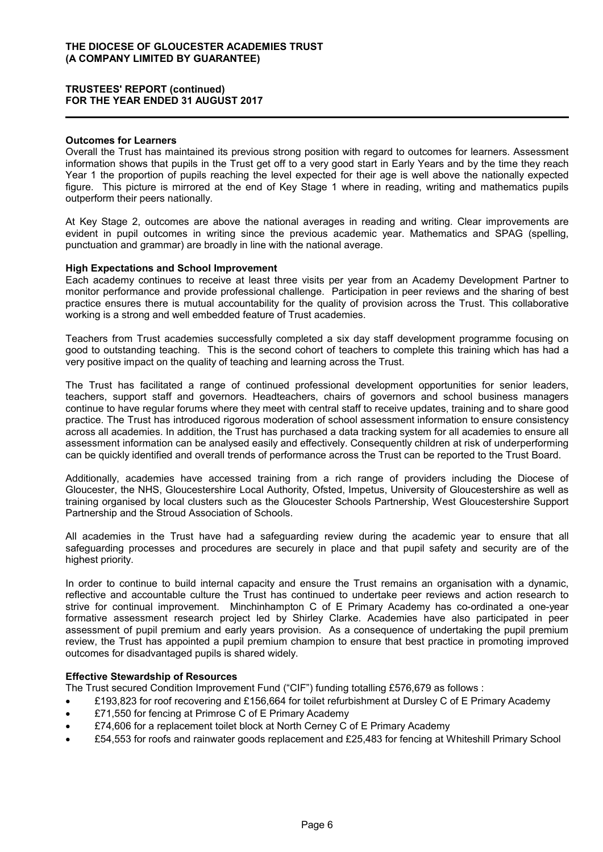#### **Outcomes for Learners**

Overall the Trust has maintained its previous strong position with regard to outcomes for learners. Assessment information shows that pupils in the Trust get off to a very good start in Early Years and by the time they reach Year 1 the proportion of pupils reaching the level expected for their age is well above the nationally expected figure. This picture is mirrored at the end of Key Stage 1 where in reading, writing and mathematics pupils outperform their peers nationally.

At Key Stage 2, outcomes are above the national averages in reading and writing. Clear improvements are evident in pupil outcomes in writing since the previous academic year. Mathematics and SPAG (spelling, punctuation and grammar) are broadly in line with the national average.

#### **High Expectations and School Improvement**

Each academy continues to receive at least three visits per year from an Academy Development Partner to monitor performance and provide professional challenge. Participation in peer reviews and the sharing of best practice ensures there is mutual accountability for the quality of provision across the Trust. This collaborative working is a strong and well embedded feature of Trust academies.

Teachers from Trust academies successfully completed a six day staff development programme focusing on good to outstanding teaching. This is the second cohort of teachers to complete this training which has had a very positive impact on the quality of teaching and learning across the Trust.

The Trust has facilitated a range of continued professional development opportunities for senior leaders, teachers, support staff and governors. Headteachers, chairs of governors and school business managers continue to have regular forums where they meet with central staff to receive updates, training and to share good practice. The Trust has introduced rigorous moderation of school assessment information to ensure consistency across all academies. In addition, the Trust has purchased a data tracking system for all academies to ensure all assessment information can be analysed easily and effectively. Consequently children at risk of underperforming can be quickly identified and overall trends of performance across the Trust can be reported to the Trust Board.

Additionally, academies have accessed training from a rich range of providers including the Diocese of Gloucester, the NHS, Gloucestershire Local Authority, Ofsted, Impetus, University of Gloucestershire as well as training organised by local clusters such as the Gloucester Schools Partnership, West Gloucestershire Support Partnership and the Stroud Association of Schools.

All academies in the Trust have had a safeguarding review during the academic year to ensure that all safeguarding processes and procedures are securely in place and that pupil safety and security are of the highest priority.

In order to continue to build internal capacity and ensure the Trust remains an organisation with a dynamic, reflective and accountable culture the Trust has continued to undertake peer reviews and action research to strive for continual improvement. Minchinhampton C of E Primary Academy has co-ordinated a one-year formative assessment research project led by Shirley Clarke. Academies have also participated in peer assessment of pupil premium and early years provision. As a consequence of undertaking the pupil premium review, the Trust has appointed a pupil premium champion to ensure that best practice in promoting improved outcomes for disadvantaged pupils is shared widely.

### **Effective Stewardship of Resources**

The Trust secured Condition Improvement Fund ("CIF") funding totalling £576,679 as follows :

- £193,823 for roof recovering and £156,664 for toilet refurbishment at Dursley C of E Primary Academy
- £71,550 for fencing at Primrose C of E Primary Academy
- £74,606 for a replacement toilet block at North Cerney C of E Primary Academy
- £54,553 for roofs and rainwater goods replacement and £25,483 for fencing at Whiteshill Primary School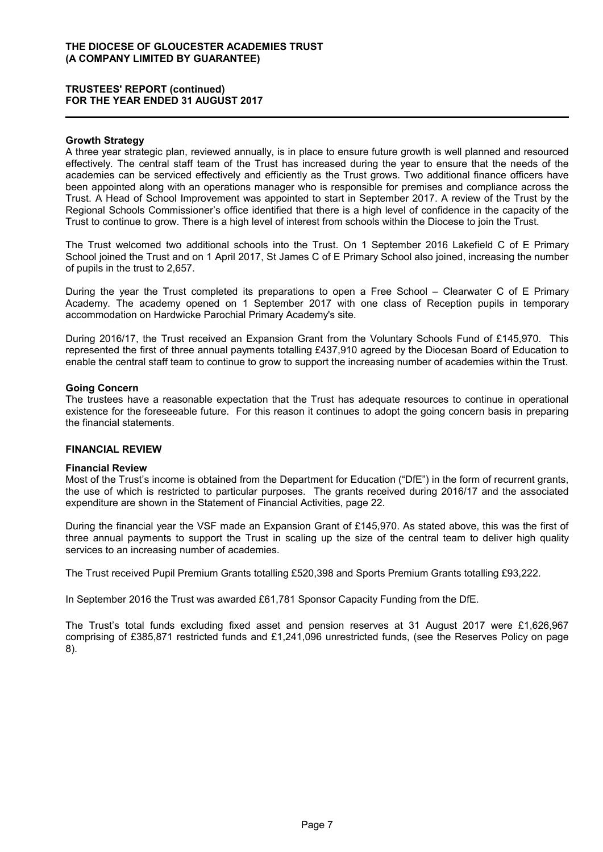### **TRUSTEES' REPORT (continued) FOR THE YEAR ENDED 31 AUGUST 2017**

#### **Growth Strategy**

A three year strategic plan, reviewed annually, is in place to ensure future growth is well planned and resourced effectively. The central staff team of the Trust has increased during the year to ensure that the needs of the academies can be serviced effectively and efficiently as the Trust grows. Two additional finance officers have been appointed along with an operations manager who is responsible for premises and compliance across the Trust. A Head of School Improvement was appointed to start in September 2017. A review of the Trust by the Regional Schools Commissioner's office identified that there is a high level of confidence in the capacity of the Trust to continue to grow. There is a high level of interest from schools within the Diocese to join the Trust.

The Trust welcomed two additional schools into the Trust. On 1 September 2016 Lakefield C of E Primary School joined the Trust and on 1 April 2017, St James C of E Primary School also joined, increasing the number of pupils in the trust to 2,657.

During the year the Trust completed its preparations to open a Free School – Clearwater C of E Primary Academy. The academy opened on 1 September 2017 with one class of Reception pupils in temporary accommodation on Hardwicke Parochial Primary Academy's site.

During 2016/17, the Trust received an Expansion Grant from the Voluntary Schools Fund of £145,970. This represented the first of three annual payments totalling £437,910 agreed by the Diocesan Board of Education to enable the central staff team to continue to grow to support the increasing number of academies within the Trust.

#### **Going Concern**

The trustees have a reasonable expectation that the Trust has adequate resources to continue in operational existence for the foreseeable future. For this reason it continues to adopt the going concern basis in preparing the financial statements.

### **FINANCIAL REVIEW**

#### **Financial Review**

Most of the Trust's income is obtained from the Department for Education ("DfE") in the form of recurrent grants, the use of which is restricted to particular purposes. The grants received during 2016/17 and the associated expenditure are shown in the Statement of Financial Activities, page 22.

During the financial year the VSF made an Expansion Grant of £145,970. As stated above, this was the first of three annual payments to support the Trust in scaling up the size of the central team to deliver high quality services to an increasing number of academies.

The Trust received Pupil Premium Grants totalling £520,398 and Sports Premium Grants totalling £93,222.

In September 2016 the Trust was awarded £61,781 Sponsor Capacity Funding from the DfE.

The Trust's total funds excluding fixed asset and pension reserves at 31 August 2017 were £1,626,967 comprising of £385,871 restricted funds and £1,241,096 unrestricted funds, (see the Reserves Policy on page 8).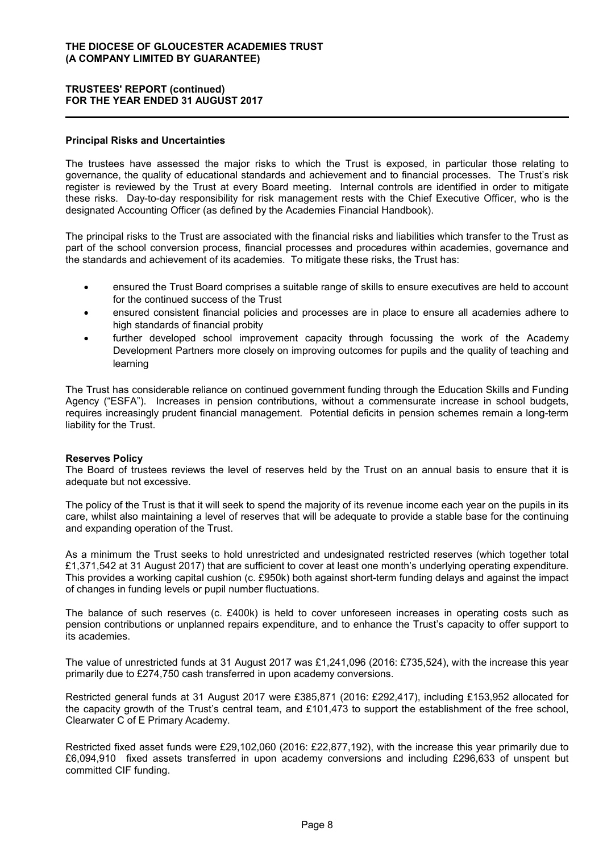### **Principal Risks and Uncertainties**

The trustees have assessed the major risks to which the Trust is exposed, in particular those relating to governance, the quality of educational standards and achievement and to financial processes. The Trust's risk register is reviewed by the Trust at every Board meeting. Internal controls are identified in order to mitigate these risks. Day-to-day responsibility for risk management rests with the Chief Executive Officer, who is the designated Accounting Officer (as defined by the Academies Financial Handbook).

The principal risks to the Trust are associated with the financial risks and liabilities which transfer to the Trust as part of the school conversion process, financial processes and procedures within academies, governance and the standards and achievement of its academies. To mitigate these risks, the Trust has:

- ensured the Trust Board comprises a suitable range of skills to ensure executives are held to account for the continued success of the Trust
- ensured consistent financial policies and processes are in place to ensure all academies adhere to high standards of financial probity
- further developed school improvement capacity through focussing the work of the Academy Development Partners more closely on improving outcomes for pupils and the quality of teaching and learning

The Trust has considerable reliance on continued government funding through the Education Skills and Funding Agency ("ESFA"). Increases in pension contributions, without a commensurate increase in school budgets, requires increasingly prudent financial management. Potential deficits in pension schemes remain a long-term liability for the Trust.

#### **Reserves Policy**

The Board of trustees reviews the level of reserves held by the Trust on an annual basis to ensure that it is adequate but not excessive.

The policy of the Trust is that it will seek to spend the majority of its revenue income each year on the pupils in its care, whilst also maintaining a level of reserves that will be adequate to provide a stable base for the continuing and expanding operation of the Trust.

As a minimum the Trust seeks to hold unrestricted and undesignated restricted reserves (which together total £1,371,542 at 31 August 2017) that are sufficient to cover at least one month's underlying operating expenditure. This provides a working capital cushion (c. £950k) both against short-term funding delays and against the impact of changes in funding levels or pupil number fluctuations.

The balance of such reserves (c. £400k) is held to cover unforeseen increases in operating costs such as pension contributions or unplanned repairs expenditure, and to enhance the Trust's capacity to offer support to its academies.

The value of unrestricted funds at 31 August 2017 was £1,241,096 (2016: £735,524), with the increase this year primarily due to £274,750 cash transferred in upon academy conversions.

Restricted general funds at 31 August 2017 were £385,871 (2016: £292,417), including £153,952 allocated for the capacity growth of the Trust's central team, and £101,473 to support the establishment of the free school, Clearwater C of E Primary Academy.

Restricted fixed asset funds were £29,102,060 (2016: £22,877,192), with the increase this year primarily due to £6,094,910 fixed assets transferred in upon academy conversions and including £296,633 of unspent but committed CIF funding.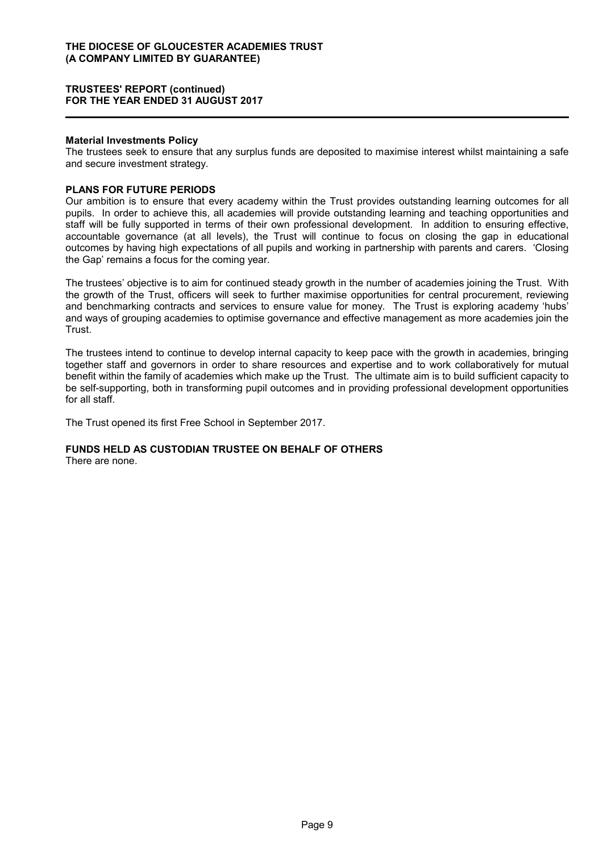#### **Material Investments Policy**

The trustees seek to ensure that any surplus funds are deposited to maximise interest whilst maintaining a safe and secure investment strategy.

#### **PLANS FOR FUTURE PERIODS**

Our ambition is to ensure that every academy within the Trust provides outstanding learning outcomes for all pupils. In order to achieve this, all academies will provide outstanding learning and teaching opportunities and staff will be fully supported in terms of their own professional development. In addition to ensuring effective, accountable governance (at all levels), the Trust will continue to focus on closing the gap in educational outcomes by having high expectations of all pupils and working in partnership with parents and carers. 'Closing the Gap' remains a focus for the coming year.

The trustees' objective is to aim for continued steady growth in the number of academies joining the Trust. With the growth of the Trust, officers will seek to further maximise opportunities for central procurement, reviewing and benchmarking contracts and services to ensure value for money. The Trust is exploring academy 'hubs' and ways of grouping academies to optimise governance and effective management as more academies join the Trust.

The trustees intend to continue to develop internal capacity to keep pace with the growth in academies, bringing together staff and governors in order to share resources and expertise and to work collaboratively for mutual benefit within the family of academies which make up the Trust. The ultimate aim is to build sufficient capacity to be self-supporting, both in transforming pupil outcomes and in providing professional development opportunities for all staff.

The Trust opened its first Free School in September 2017.

# **FUNDS HELD AS CUSTODIAN TRUSTEE ON BEHALF OF OTHERS**

There are none.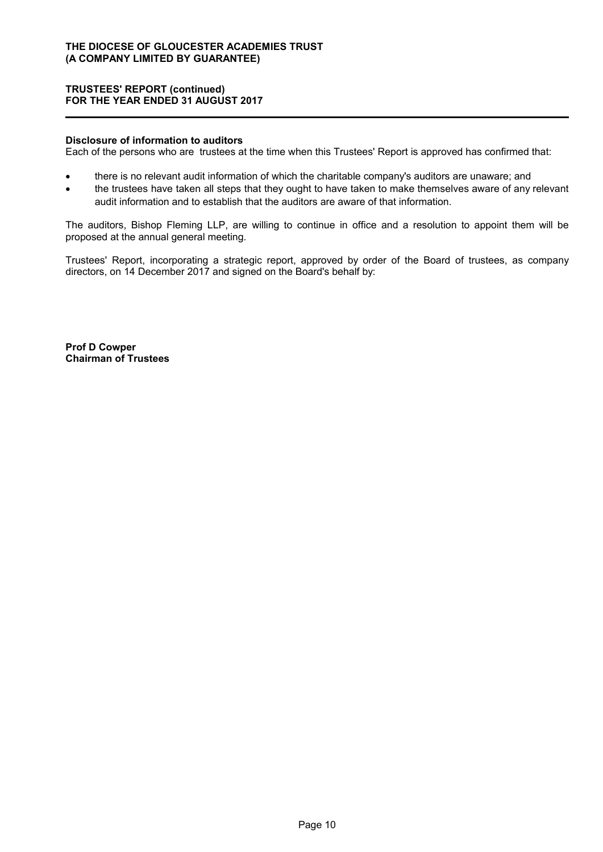#### **Disclosure of information to auditors**

Each of the persons who are trustees at the time when this Trustees' Report is approved has confirmed that:

- there is no relevant audit information of which the charitable company's auditors are unaware; and
- the trustees have taken all steps that they ought to have taken to make themselves aware of any relevant audit information and to establish that the auditors are aware of that information.

The auditors, Bishop Fleming LLP, are willing to continue in office and a resolution to appoint them will be proposed at the annual general meeting.

Trustees' Report, incorporating a strategic report, approved by order of the Board of trustees, as company directors, on 14 December 2017 and signed on the Board's behalf by:

**Prof D Cowper Chairman of Trustees**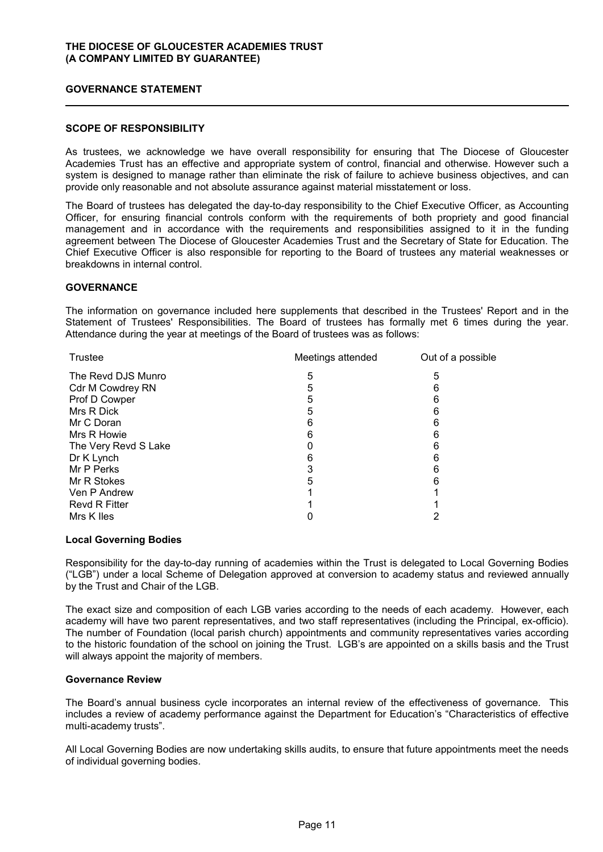### **GOVERNANCE STATEMENT**

### **SCOPE OF RESPONSIBILITY**

As trustees, we acknowledge we have overall responsibility for ensuring that The Diocese of Gloucester Academies Trust has an effective and appropriate system of control, financial and otherwise. However such a system is designed to manage rather than eliminate the risk of failure to achieve business objectives, and can provide only reasonable and not absolute assurance against material misstatement or loss.

The Board of trustees has delegated the day-to-day responsibility to the Chief Executive Officer, as Accounting Officer, for ensuring financial controls conform with the requirements of both propriety and good financial management and in accordance with the requirements and responsibilities assigned to it in the funding agreement between The Diocese of Gloucester Academies Trust and the Secretary of State for Education. The Chief Executive Officer is also responsible for reporting to the Board of trustees any material weaknesses or breakdowns in internal control.

### **GOVERNANCE**

The information on governance included here supplements that described in the Trustees' Report and in the Statement of Trustees' Responsibilities. The Board of trustees has formally met 6 times during the year. Attendance during the year at meetings of the Board of trustees was as follows:

| Meetings attended | Out of a possible |
|-------------------|-------------------|
| 5                 | 5                 |
| 5                 | 6                 |
| 5                 | 6                 |
| 5                 | 6                 |
| 6                 | 6                 |
| 6                 | 6                 |
|                   | 6                 |
| 6                 | 6                 |
|                   | 6                 |
| 5                 | 6                 |
|                   |                   |
|                   |                   |
|                   |                   |
|                   |                   |

### **Local Governing Bodies**

Responsibility for the day-to-day running of academies within the Trust is delegated to Local Governing Bodies ("LGB") under a local Scheme of Delegation approved at conversion to academy status and reviewed annually by the Trust and Chair of the LGB.

The exact size and composition of each LGB varies according to the needs of each academy. However, each academy will have two parent representatives, and two staff representatives (including the Principal, ex-officio). The number of Foundation (local parish church) appointments and community representatives varies according to the historic foundation of the school on joining the Trust. LGB's are appointed on a skills basis and the Trust will always appoint the majority of members.

#### **Governance Review**

The Board's annual business cycle incorporates an internal review of the effectiveness of governance. This includes a review of academy performance against the Department for Education's "Characteristics of effective multi-academy trusts".

All Local Governing Bodies are now undertaking skills audits, to ensure that future appointments meet the needs of individual governing bodies.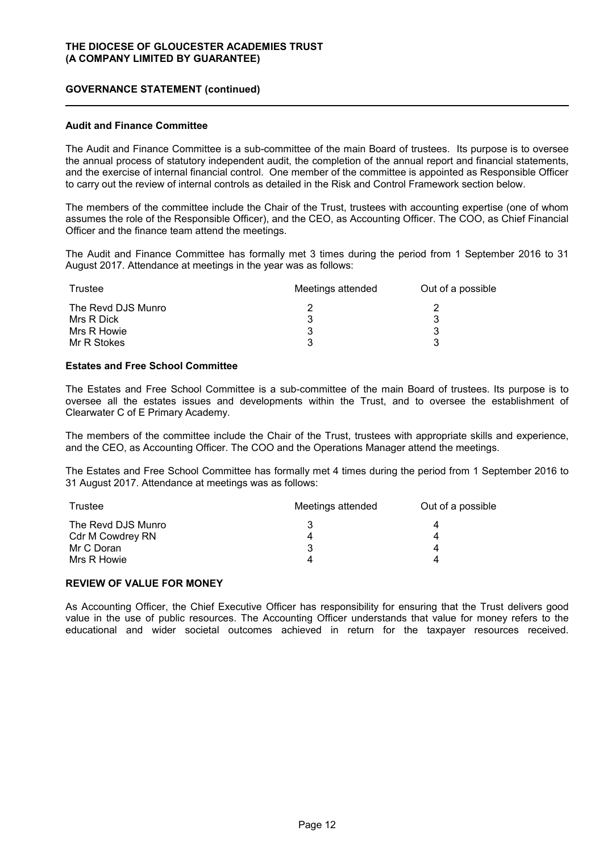### **GOVERNANCE STATEMENT (continued)**

#### **Audit and Finance Committee**

The Audit and Finance Committee is a sub-committee of the main Board of trustees. Its purpose is to oversee the annual process of statutory independent audit, the completion of the annual report and financial statements, and the exercise of internal financial control. One member of the committee is appointed as Responsible Officer to carry out the review of internal controls as detailed in the Risk and Control Framework section below.

The members of the committee include the Chair of the Trust, trustees with accounting expertise (one of whom assumes the role of the Responsible Officer), and the CEO, as Accounting Officer. The COO, as Chief Financial Officer and the finance team attend the meetings.

The Audit and Finance Committee has formally met 3 times during the period from 1 September 2016 to 31 August 2017. Attendance at meetings in the year was as follows:

| Trustee            | Meetings attended | Out of a possible |
|--------------------|-------------------|-------------------|
| The Revd DJS Munro |                   |                   |
| Mrs R Dick         |                   |                   |
| Mrs R Howie        |                   |                   |
| Mr R Stokes        | 3                 | າ                 |

#### **Estates and Free School Committee**

The Estates and Free School Committee is a sub-committee of the main Board of trustees. Its purpose is to oversee all the estates issues and developments within the Trust, and to oversee the establishment of Clearwater C of E Primary Academy.

The members of the committee include the Chair of the Trust, trustees with appropriate skills and experience, and the CEO, as Accounting Officer. The COO and the Operations Manager attend the meetings.

The Estates and Free School Committee has formally met 4 times during the period from 1 September 2016 to 31 August 2017. Attendance at meetings was as follows:

| Trustee            | Meetings attended | Out of a possible |
|--------------------|-------------------|-------------------|
| The Revd DJS Munro | 3                 |                   |
| Cdr M Cowdrey RN   | 4                 |                   |
| Mr C Doran         | 3                 |                   |
| Mrs R Howie        | 4                 |                   |

#### **REVIEW OF VALUE FOR MONEY**

As Accounting Officer, the Chief Executive Officer has responsibility for ensuring that the Trust delivers good value in the use of public resources. The Accounting Officer understands that value for money refers to the educational and wider societal outcomes achieved in return for the taxpayer resources received.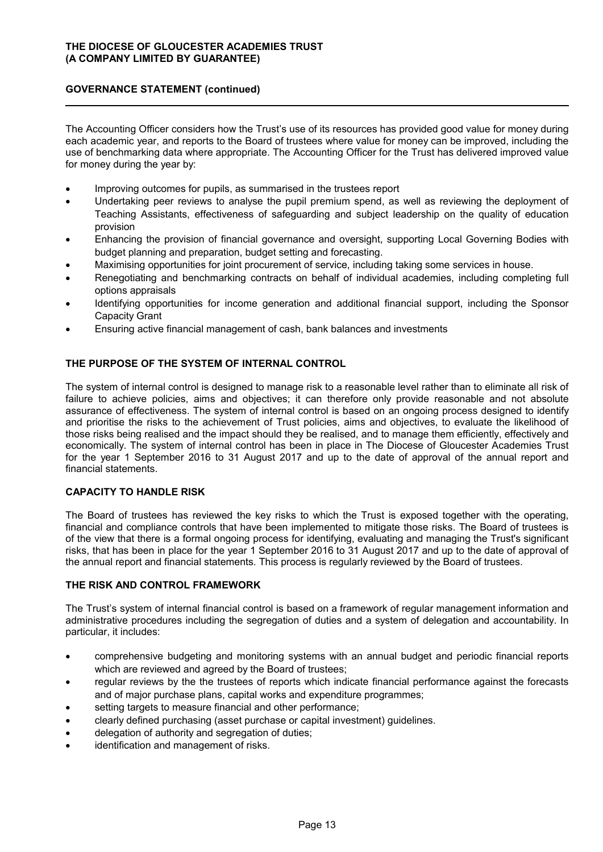### **GOVERNANCE STATEMENT (continued)**

The Accounting Officer considers how the Trust's use of its resources has provided good value for money during each academic year, and reports to the Board of trustees where value for money can be improved, including the use of benchmarking data where appropriate. The Accounting Officer for the Trust has delivered improved value for money during the year by:

- Improving outcomes for pupils, as summarised in the trustees report
- Undertaking peer reviews to analyse the pupil premium spend, as well as reviewing the deployment of Teaching Assistants, effectiveness of safeguarding and subject leadership on the quality of education provision
- Enhancing the provision of financial governance and oversight, supporting Local Governing Bodies with budget planning and preparation, budget setting and forecasting.
- Maximising opportunities for joint procurement of service, including taking some services in house.
- Renegotiating and benchmarking contracts on behalf of individual academies, including completing full options appraisals
- Identifying opportunities for income generation and additional financial support, including the Sponsor Capacity Grant
- Ensuring active financial management of cash, bank balances and investments

### **THE PURPOSE OF THE SYSTEM OF INTERNAL CONTROL**

The system of internal control is designed to manage risk to a reasonable level rather than to eliminate all risk of failure to achieve policies, aims and objectives; it can therefore only provide reasonable and not absolute assurance of effectiveness. The system of internal control is based on an ongoing process designed to identify and prioritise the risks to the achievement of Trust policies, aims and objectives, to evaluate the likelihood of those risks being realised and the impact should they be realised, and to manage them efficiently, effectively and economically. The system of internal control has been in place in The Diocese of Gloucester Academies Trust for the year 1 September 2016 to 31 August 2017 and up to the date of approval of the annual report and financial statements.

### **CAPACITY TO HANDLE RISK**

The Board of trustees has reviewed the key risks to which the Trust is exposed together with the operating, financial and compliance controls that have been implemented to mitigate those risks. The Board of trustees is of the view that there is a formal ongoing process for identifying, evaluating and managing the Trust's significant risks, that has been in place for the year 1 September 2016 to 31 August 2017 and up to the date of approval of the annual report and financial statements. This process is regularly reviewed by the Board of trustees.

#### **THE RISK AND CONTROL FRAMEWORK**

The Trust's system of internal financial control is based on a framework of regular management information and administrative procedures including the segregation of duties and a system of delegation and accountability. In particular, it includes:

- comprehensive budgeting and monitoring systems with an annual budget and periodic financial reports which are reviewed and agreed by the Board of trustees;
- regular reviews by the the trustees of reports which indicate financial performance against the forecasts and of major purchase plans, capital works and expenditure programmes;
- setting targets to measure financial and other performance;
- clearly defined purchasing (asset purchase or capital investment) guidelines.
- delegation of authority and segregation of duties;
- identification and management of risks.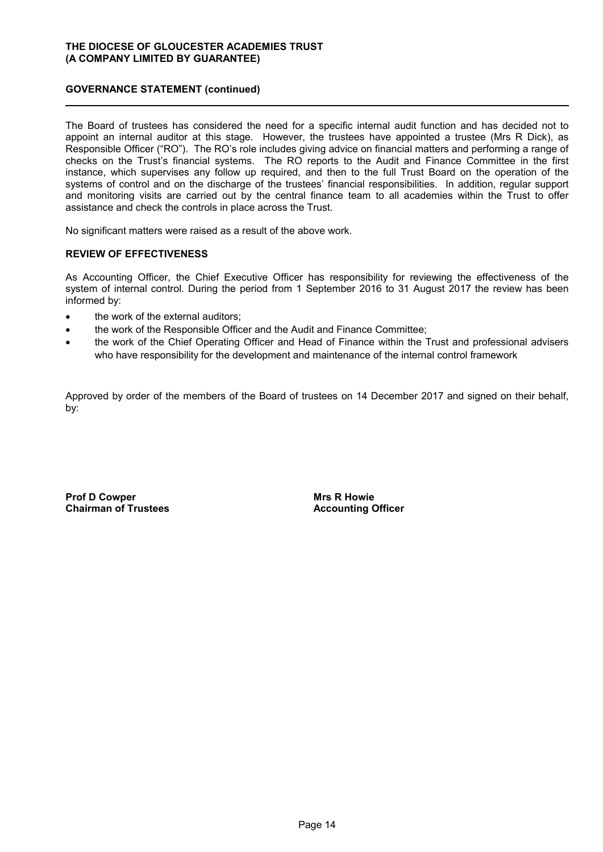### **GOVERNANCE STATEMENT (continued)**

The Board of trustees has considered the need for a specific internal audit function and has decided not to appoint an internal auditor at this stage. However, the trustees have appointed a trustee (Mrs R Dick), as Responsible Officer ("RO"). The RO's role includes giving advice on financial matters and performing a range of checks on the Trust's financial systems. The RO reports to the Audit and Finance Committee in the first instance, which supervises any follow up required, and then to the full Trust Board on the operation of the systems of control and on the discharge of the trustees' financial responsibilities. In addition, regular support and monitoring visits are carried out by the central finance team to all academies within the Trust to offer assistance and check the controls in place across the Trust.

No significant matters were raised as a result of the above work.

### **REVIEW OF EFFECTIVENESS**

As Accounting Officer, the Chief Executive Officer has responsibility for reviewing the effectiveness of the system of internal control. During the period from 1 September 2016 to 31 August 2017 the review has been informed by:

- the work of the external auditors:
- the work of the Responsible Officer and the Audit and Finance Committee;
- the work of the Chief Operating Officer and Head of Finance within the Trust and professional advisers who have responsibility for the development and maintenance of the internal control framework

Approved by order of the members of the Board of trustees on 14 December 2017 and signed on their behalf, by:

**Prof D Cowper Chairman of Trustees** **Mrs R Howie Accounting Officer**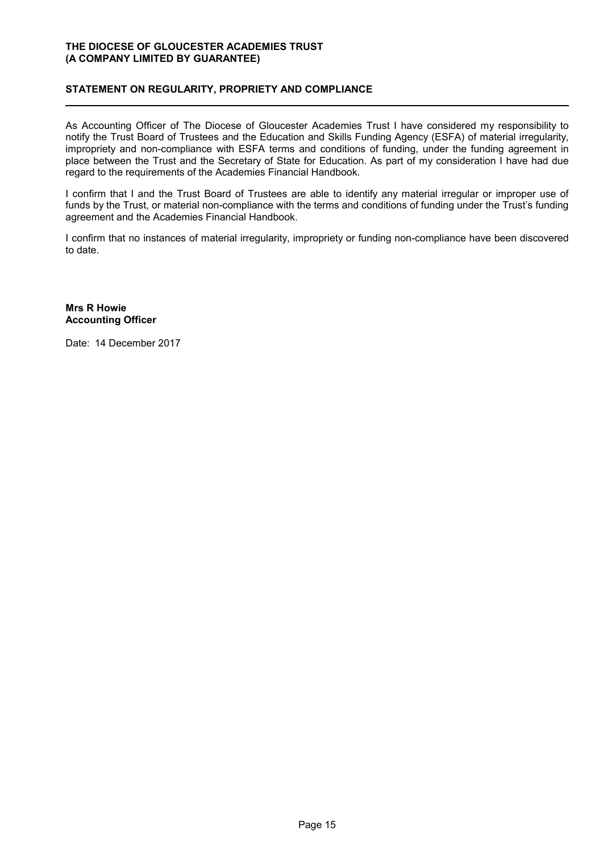### **STATEMENT ON REGULARITY, PROPRIETY AND COMPLIANCE**

As Accounting Officer of The Diocese of Gloucester Academies Trust I have considered my responsibility to notify the Trust Board of Trustees and the Education and Skills Funding Agency (ESFA) of material irregularity, impropriety and non-compliance with ESFA terms and conditions of funding, under the funding agreement in place between the Trust and the Secretary of State for Education. As part of my consideration I have had due regard to the requirements of the Academies Financial Handbook.

I confirm that I and the Trust Board of Trustees are able to identify any material irregular or improper use of funds by the Trust, or material non-compliance with the terms and conditions of funding under the Trust's funding agreement and the Academies Financial Handbook.

I confirm that no instances of material irregularity, impropriety or funding non-compliance have been discovered to date.

**Mrs R Howie Accounting Officer**

Date: 14 December 2017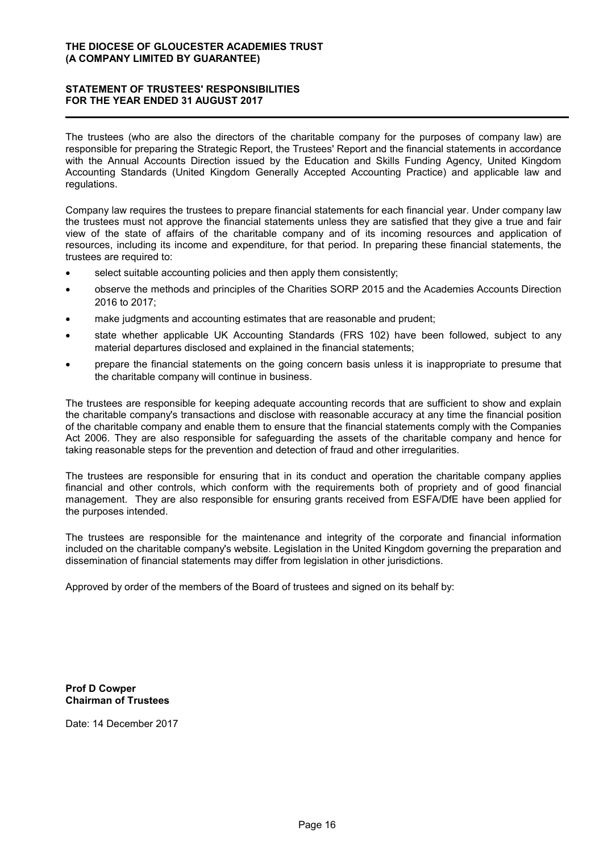### **STATEMENT OF TRUSTEES' RESPONSIBILITIES FOR THE YEAR ENDED 31 AUGUST 2017**

The trustees (who are also the directors of the charitable company for the purposes of company law) are responsible for preparing the Strategic Report, the Trustees' Report and the financial statements in accordance with the Annual Accounts Direction issued by the Education and Skills Funding Agency, United Kingdom Accounting Standards (United Kingdom Generally Accepted Accounting Practice) and applicable law and regulations.

Company law requires the trustees to prepare financial statements for each financial year. Under company law the trustees must not approve the financial statements unless they are satisfied that they give a true and fair view of the state of affairs of the charitable company and of its incoming resources and application of resources, including its income and expenditure, for that period. In preparing these financial statements, the trustees are required to:

- select suitable accounting policies and then apply them consistently;
- observe the methods and principles of the Charities SORP 2015 and the Academies Accounts Direction 2016 to 2017;
- make judgments and accounting estimates that are reasonable and prudent;
- state whether applicable UK Accounting Standards (FRS 102) have been followed, subject to any material departures disclosed and explained in the financial statements;
- prepare the financial statements on the going concern basis unless it is inappropriate to presume that the charitable company will continue in business.

The trustees are responsible for keeping adequate accounting records that are sufficient to show and explain the charitable company's transactions and disclose with reasonable accuracy at any time the financial position of the charitable company and enable them to ensure that the financial statements comply with the Companies Act 2006. They are also responsible for safeguarding the assets of the charitable company and hence for taking reasonable steps for the prevention and detection of fraud and other irregularities.

The trustees are responsible for ensuring that in its conduct and operation the charitable company applies financial and other controls, which conform with the requirements both of propriety and of good financial management. They are also responsible for ensuring grants received from ESFA/DfE have been applied for the purposes intended.

The trustees are responsible for the maintenance and integrity of the corporate and financial information included on the charitable company's website. Legislation in the United Kingdom governing the preparation and dissemination of financial statements may differ from legislation in other jurisdictions.

Approved by order of the members of the Board of trustees and signed on its behalf by:

**Prof D Cowper Chairman of Trustees**

Date: 14 December 2017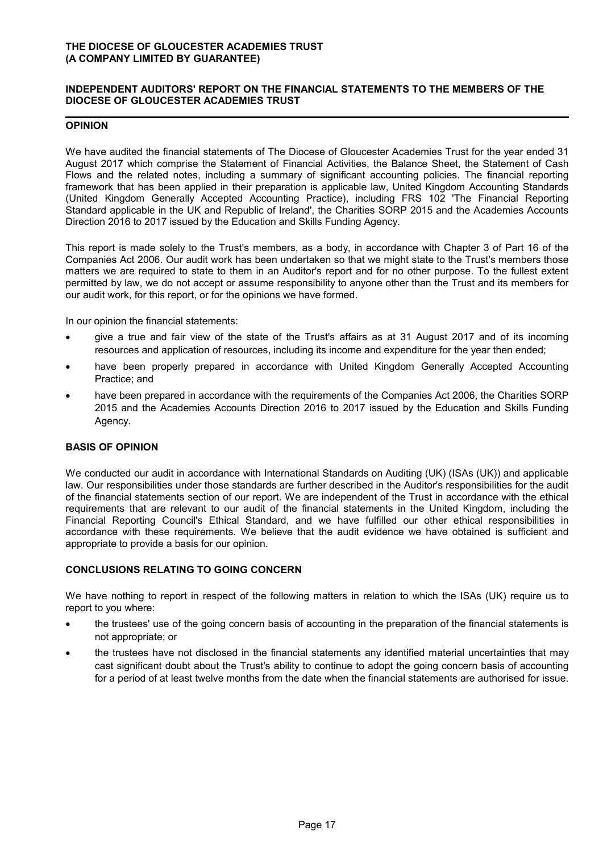### **INDEPENDENT AUDITORS' REPORT ON THE FINANCIAL STATEMENTS TO THE MEMBERS OF THE DIOCESE OF GLOUCESTER ACADEMIES TRUST**

#### **OPINION**

We have audited the financial statements of The Diocese of Gloucester Academies Trust for the year ended 31 August 2017 which comprise the Statement of Financial Activities, the Balance Sheet, the Statement of Cash Flows and the related notes, including a summary of significant accounting policies. The financial reporting framework that has been applied in their preparation is applicable law, United Kingdom Accounting Standards (United Kingdom Generally Accepted Accounting Practice), including FRS 102 'The Financial Reporting Standard applicable in the UK and Republic of Ireland', the Charities SORP 2015 and the Academies Accounts Direction 2016 to 2017 issued by the Education and Skills Funding Agency.

This report is made solely to the Trust's members, as a body, in accordance with Chapter 3 of Part 16 of the Companies Act 2006. Our audit work has been undertaken so that we might state to the Trust's members those matters we are required to state to them in an Auditor's report and for no other purpose. To the fullest extent permitted by law, we do not accept or assume responsibility to anyone other than the Trust and its members for our audit work, for this report, or for the opinions we have formed.

In our opinion the financial statements:

- give a true and fair view of the state of the Trust's affairs as at 31 August 2017 and of its incoming resources and application of resources, including its income and expenditure for the year then ended;
- have been properly prepared in accordance with United Kingdom Generally Accepted Accounting Practice; and
- have been prepared in accordance with the requirements of the Companies Act 2006, the Charities SORP 2015 and the Academies Accounts Direction 2016 to 2017 issued by the Education and Skills Funding Agency.

### **BASIS OF OPINION**

We conducted our audit in accordance with International Standards on Auditing (UK) (ISAs (UK)) and applicable law. Our responsibilities under those standards are further described in the Auditor's responsibilities for the audit of the financial statements section of our report. We are independent of the Trust in accordance with the ethical requirements that are relevant to our audit of the financial statements in the United Kingdom, including the Financial Reporting Council's Ethical Standard, and we have fulfilled our other ethical responsibilities in accordance with these requirements. We believe that the audit evidence we have obtained is sufficient and appropriate to provide a basis for our opinion.

### **CONCLUSIONS RELATING TO GOING CONCERN**

We have nothing to report in respect of the following matters in relation to which the ISAs (UK) require us to report to you where:

- the trustees' use of the going concern basis of accounting in the preparation of the financial statements is not appropriate; or
- the trustees have not disclosed in the financial statements any identified material uncertainties that may cast significant doubt about the Trust's ability to continue to adopt the going concern basis of accounting for a period of at least twelve months from the date when the financial statements are authorised for issue.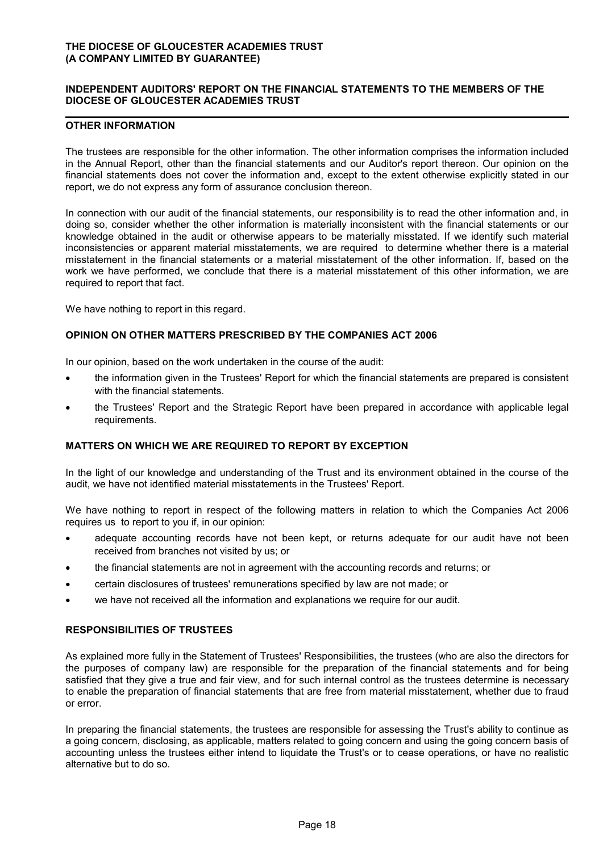### **INDEPENDENT AUDITORS' REPORT ON THE FINANCIAL STATEMENTS TO THE MEMBERS OF THE DIOCESE OF GLOUCESTER ACADEMIES TRUST**

#### **OTHER INFORMATION**

The trustees are responsible for the other information. The other information comprises the information included in the Annual Report, other than the financial statements and our Auditor's report thereon. Our opinion on the financial statements does not cover the information and, except to the extent otherwise explicitly stated in our report, we do not express any form of assurance conclusion thereon.

In connection with our audit of the financial statements, our responsibility is to read the other information and, in doing so, consider whether the other information is materially inconsistent with the financial statements or our knowledge obtained in the audit or otherwise appears to be materially misstated. If we identify such material inconsistencies or apparent material misstatements, we are required to determine whether there is a material misstatement in the financial statements or a material misstatement of the other information. If, based on the work we have performed, we conclude that there is a material misstatement of this other information, we are required to report that fact.

We have nothing to report in this regard.

#### **OPINION ON OTHER MATTERS PRESCRIBED BY THE COMPANIES ACT 2006**

In our opinion, based on the work undertaken in the course of the audit:

- the information given in the Trustees' Report for which the financial statements are prepared is consistent with the financial statements.
- the Trustees' Report and the Strategic Report have been prepared in accordance with applicable legal requirements.

#### **MATTERS ON WHICH WE ARE REQUIRED TO REPORT BY EXCEPTION**

In the light of our knowledge and understanding of the Trust and its environment obtained in the course of the audit, we have not identified material misstatements in the Trustees' Report.

We have nothing to report in respect of the following matters in relation to which the Companies Act 2006 requires us to report to you if, in our opinion:

- adequate accounting records have not been kept, or returns adequate for our audit have not been received from branches not visited by us; or
- the financial statements are not in agreement with the accounting records and returns; or
- certain disclosures of trustees' remunerations specified by law are not made; or
- we have not received all the information and explanations we require for our audit.

### **RESPONSIBILITIES OF TRUSTEES**

As explained more fully in the Statement of Trustees' Responsibilities, the trustees (who are also the directors for the purposes of company law) are responsible for the preparation of the financial statements and for being satisfied that they give a true and fair view, and for such internal control as the trustees determine is necessary to enable the preparation of financial statements that are free from material misstatement, whether due to fraud or error.

In preparing the financial statements, the trustees are responsible for assessing the Trust's ability to continue as a going concern, disclosing, as applicable, matters related to going concern and using the going concern basis of accounting unless the trustees either intend to liquidate the Trust's or to cease operations, or have no realistic alternative but to do so.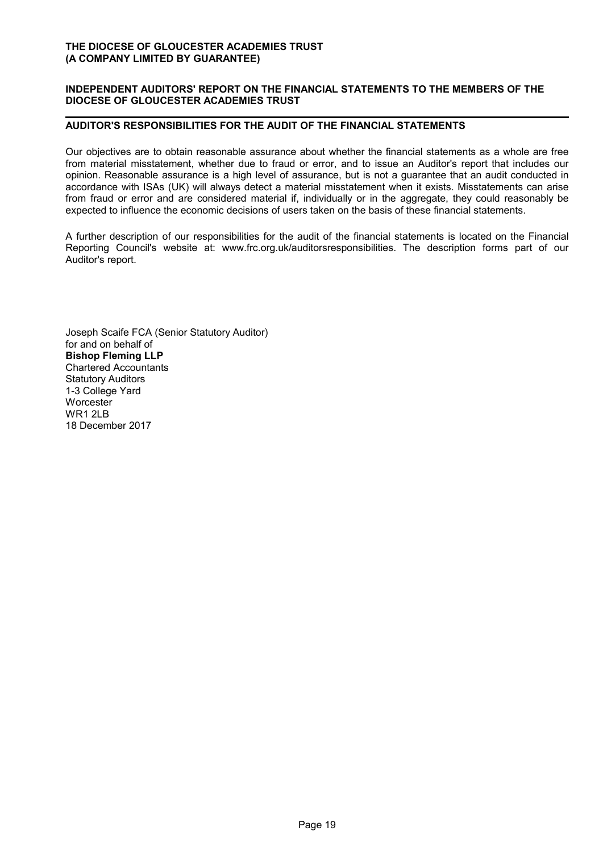### **INDEPENDENT AUDITORS' REPORT ON THE FINANCIAL STATEMENTS TO THE MEMBERS OF THE DIOCESE OF GLOUCESTER ACADEMIES TRUST**

### **AUDITOR'S RESPONSIBILITIES FOR THE AUDIT OF THE FINANCIAL STATEMENTS**

Our objectives are to obtain reasonable assurance about whether the financial statements as a whole are free from material misstatement, whether due to fraud or error, and to issue an Auditor's report that includes our opinion. Reasonable assurance is a high level of assurance, but is not a guarantee that an audit conducted in accordance with ISAs (UK) will always detect a material misstatement when it exists. Misstatements can arise from fraud or error and are considered material if, individually or in the aggregate, they could reasonably be expected to influence the economic decisions of users taken on the basis of these financial statements.

A further description of our responsibilities for the audit of the financial statements is located on the Financial Reporting Council's website at: www.frc.org.uk/auditorsresponsibilities. The description forms part of our Auditor's report.

Joseph Scaife FCA (Senior Statutory Auditor) for and on behalf of **Bishop Fleming LLP** Chartered Accountants Statutory Auditors 1-3 College Yard **Worcester** WR1 2LB 18 December 2017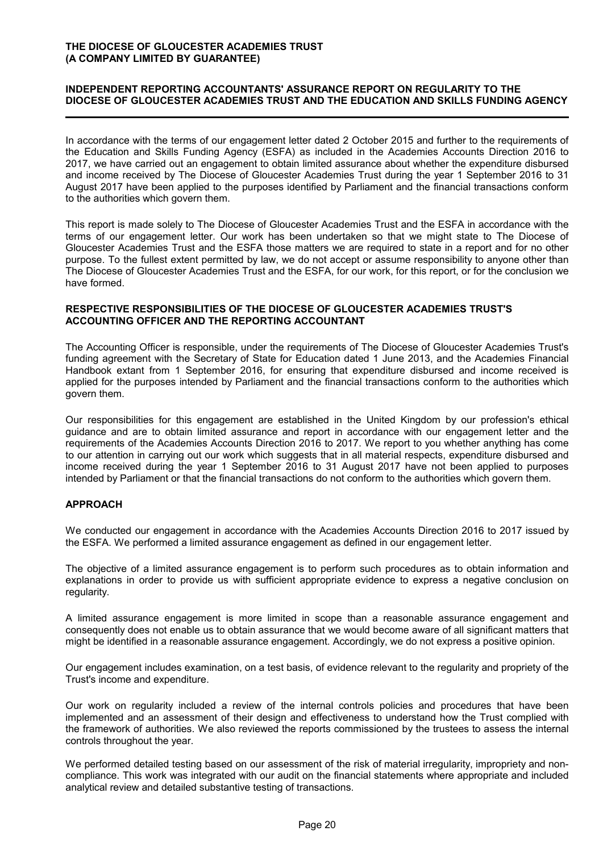### **INDEPENDENT REPORTING ACCOUNTANTS' ASSURANCE REPORT ON REGULARITY TO THE DIOCESE OF GLOUCESTER ACADEMIES TRUST AND THE EDUCATION AND SKILLS FUNDING AGENCY**

In accordance with the terms of our engagement letter dated 2 October 2015 and further to the requirements of the Education and Skills Funding Agency (ESFA) as included in the Academies Accounts Direction 2016 to 2017, we have carried out an engagement to obtain limited assurance about whether the expenditure disbursed and income received by The Diocese of Gloucester Academies Trust during the year 1 September 2016 to 31 August 2017 have been applied to the purposes identified by Parliament and the financial transactions conform to the authorities which govern them.

This report is made solely to The Diocese of Gloucester Academies Trust and the ESFA in accordance with the terms of our engagement letter. Our work has been undertaken so that we might state to The Diocese of Gloucester Academies Trust and the ESFA those matters we are required to state in a report and for no other purpose. To the fullest extent permitted by law, we do not accept or assume responsibility to anyone other than The Diocese of Gloucester Academies Trust and the ESFA, for our work, for this report, or for the conclusion we have formed.

### **RESPECTIVE RESPONSIBILITIES OF THE DIOCESE OF GLOUCESTER ACADEMIES TRUST'S ACCOUNTING OFFICER AND THE REPORTING ACCOUNTANT**

The Accounting Officer is responsible, under the requirements of The Diocese of Gloucester Academies Trust's funding agreement with the Secretary of State for Education dated 1 June 2013, and the Academies Financial Handbook extant from 1 September 2016, for ensuring that expenditure disbursed and income received is applied for the purposes intended by Parliament and the financial transactions conform to the authorities which govern them.

Our responsibilities for this engagement are established in the United Kingdom by our profession's ethical guidance and are to obtain limited assurance and report in accordance with our engagement letter and the requirements of the Academies Accounts Direction 2016 to 2017. We report to you whether anything has come to our attention in carrying out our work which suggests that in all material respects, expenditure disbursed and income received during the year 1 September 2016 to 31 August 2017 have not been applied to purposes intended by Parliament or that the financial transactions do not conform to the authorities which govern them.

### **APPROACH**

We conducted our engagement in accordance with the Academies Accounts Direction 2016 to 2017 issued by the ESFA. We performed a limited assurance engagement as defined in our engagement letter.

The objective of a limited assurance engagement is to perform such procedures as to obtain information and explanations in order to provide us with sufficient appropriate evidence to express a negative conclusion on regularity.

A limited assurance engagement is more limited in scope than a reasonable assurance engagement and consequently does not enable us to obtain assurance that we would become aware of all significant matters that might be identified in a reasonable assurance engagement. Accordingly, we do not express a positive opinion.

Our engagement includes examination, on a test basis, of evidence relevant to the regularity and propriety of the Trust's income and expenditure.

Our work on regularity included a review of the internal controls policies and procedures that have been implemented and an assessment of their design and effectiveness to understand how the Trust complied with the framework of authorities. We also reviewed the reports commissioned by the trustees to assess the internal controls throughout the year.

We performed detailed testing based on our assessment of the risk of material irregularity, impropriety and noncompliance. This work was integrated with our audit on the financial statements where appropriate and included analytical review and detailed substantive testing of transactions.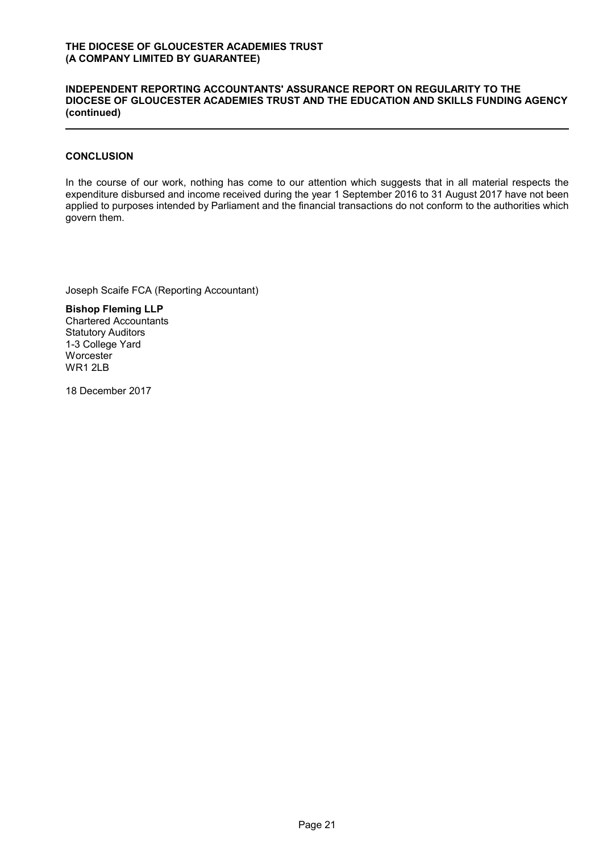### **INDEPENDENT REPORTING ACCOUNTANTS' ASSURANCE REPORT ON REGULARITY TO THE DIOCESE OF GLOUCESTER ACADEMIES TRUST AND THE EDUCATION AND SKILLS FUNDING AGENCY (continued)**

### **CONCLUSION**

In the course of our work, nothing has come to our attention which suggests that in all material respects the expenditure disbursed and income received during the year 1 September 2016 to 31 August 2017 have not been applied to purposes intended by Parliament and the financial transactions do not conform to the authorities which govern them.

Joseph Scaife FCA (Reporting Accountant)

**Bishop Fleming LLP** Chartered Accountants Statutory Auditors 1-3 College Yard **Worcester** WR1 2LB

18 December 2017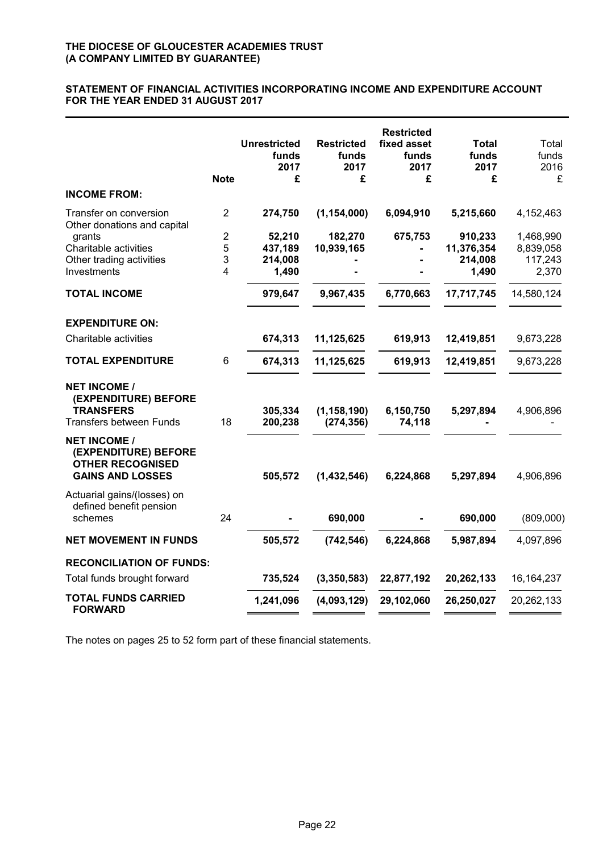### **STATEMENT OF FINANCIAL ACTIVITIES INCORPORATING INCOME AND EXPENDITURE ACCOUNT FOR THE YEAR ENDED 31 AUGUST 2017**

|                                                                                                   | <b>Note</b>    | <b>Unrestricted</b><br>funds<br>2017<br>£ | <b>Restricted</b><br>funds<br>2017<br>£ | <b>Restricted</b><br>fixed asset<br>funds<br>2017<br>£ | Total<br>funds<br>2017<br>£ | Total<br>funds<br>2016<br>£ |
|---------------------------------------------------------------------------------------------------|----------------|-------------------------------------------|-----------------------------------------|--------------------------------------------------------|-----------------------------|-----------------------------|
| <b>INCOME FROM:</b>                                                                               |                |                                           |                                         |                                                        |                             |                             |
| Transfer on conversion<br>Other donations and capital                                             | $\overline{2}$ | 274,750                                   | (1, 154, 000)                           | 6,094,910                                              | 5,215,660                   | 4,152,463                   |
| grants                                                                                            | 2              | 52,210                                    | 182,270                                 | 675,753                                                | 910,233                     | 1,468,990                   |
| Charitable activities                                                                             | 5              | 437,189                                   | 10,939,165                              |                                                        | 11,376,354                  | 8,839,058                   |
| Other trading activities                                                                          | 3              | 214,008                                   |                                         |                                                        | 214,008                     | 117,243                     |
| Investments                                                                                       | 4              | 1,490                                     |                                         |                                                        | 1,490                       | 2,370                       |
| <b>TOTAL INCOME</b>                                                                               |                | 979,647                                   | 9,967,435                               | 6,770,663                                              | 17,717,745                  | 14,580,124                  |
| <b>EXPENDITURE ON:</b>                                                                            |                |                                           |                                         |                                                        |                             |                             |
| Charitable activities                                                                             |                | 674,313                                   | 11,125,625                              | 619,913                                                | 12,419,851                  | 9,673,228                   |
| <b>TOTAL EXPENDITURE</b>                                                                          | 6              | 674,313                                   | 11,125,625                              | 619,913                                                | 12,419,851                  | 9,673,228                   |
| <b>NET INCOME /</b><br>(EXPENDITURE) BEFORE<br><b>TRANSFERS</b><br><b>Transfers between Funds</b> | 18             | 305,334<br>200,238                        | (1, 158, 190)<br>(274, 356)             | 6,150,750<br>74,118                                    | 5,297,894                   | 4,906,896                   |
| <b>NET INCOME /</b><br>(EXPENDITURE) BEFORE<br><b>OTHER RECOGNISED</b><br><b>GAINS AND LOSSES</b> |                | 505,572                                   | (1,432,546)                             | 6,224,868                                              | 5,297,894                   | 4,906,896                   |
| Actuarial gains/(losses) on<br>defined benefit pension<br>schemes                                 | 24             |                                           | 690,000                                 |                                                        | 690,000                     | (809,000)                   |
| <b>NET MOVEMENT IN FUNDS</b>                                                                      |                | 505,572                                   | (742, 546)                              | 6,224,868                                              | 5,987,894                   | 4,097,896                   |
| <b>RECONCILIATION OF FUNDS:</b>                                                                   |                |                                           |                                         |                                                        |                             |                             |
| Total funds brought forward                                                                       |                | 735,524                                   | (3,350,583)                             | 22,877,192                                             | 20,262,133                  | 16, 164, 237                |
| <b>TOTAL FUNDS CARRIED</b><br><b>FORWARD</b>                                                      |                | 1,241,096                                 | (4,093,129)                             | 29,102,060                                             | 26,250,027                  | 20,262,133                  |

The notes on pages 25 to 52 form part of these financial statements.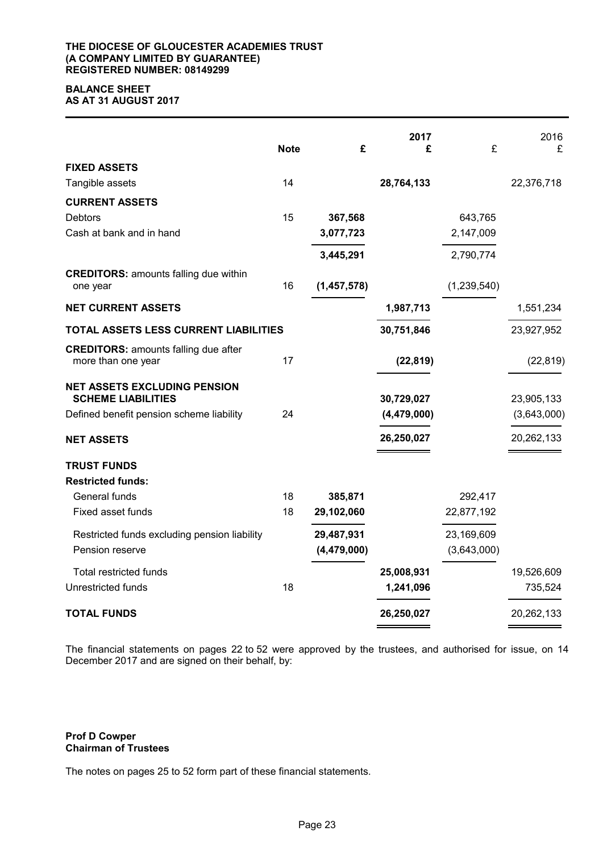#### **THE DIOCESE OF GLOUCESTER ACADEMIES TRUST (A COMPANY LIMITED BY GUARANTEE) REGISTERED NUMBER: 08149299**

### **BALANCE SHEET AS AT 31 AUGUST 2017**

|                                                                   | <b>Note</b> | £             | 2017<br>£     | £           | 2016<br>£   |
|-------------------------------------------------------------------|-------------|---------------|---------------|-------------|-------------|
| <b>FIXED ASSETS</b>                                               |             |               |               |             |             |
| Tangible assets                                                   | 14          |               | 28,764,133    |             | 22,376,718  |
| <b>CURRENT ASSETS</b>                                             |             |               |               |             |             |
| Debtors                                                           | 15          | 367,568       |               | 643,765     |             |
| Cash at bank and in hand                                          |             | 3,077,723     |               | 2,147,009   |             |
|                                                                   |             | 3,445,291     |               | 2,790,774   |             |
| <b>CREDITORS: amounts falling due within</b><br>one year          | 16          | (1,457,578)   |               | (1,239,540) |             |
| <b>NET CURRENT ASSETS</b>                                         |             |               | 1,987,713     |             | 1,551,234   |
| TOTAL ASSETS LESS CURRENT LIABILITIES                             |             |               | 30,751,846    |             | 23,927,952  |
| <b>CREDITORS: amounts falling due after</b><br>more than one year | 17          |               | (22, 819)     |             | (22, 819)   |
| <b>NET ASSETS EXCLUDING PENSION</b><br><b>SCHEME LIABILITIES</b>  |             |               | 30,729,027    |             | 23,905,133  |
| Defined benefit pension scheme liability                          | 24          |               | (4, 479, 000) |             | (3,643,000) |
| <b>NET ASSETS</b>                                                 |             |               | 26,250,027    |             | 20,262,133  |
| <b>TRUST FUNDS</b>                                                |             |               |               |             |             |
| <b>Restricted funds:</b>                                          |             |               |               |             |             |
| General funds                                                     | 18          | 385,871       |               | 292,417     |             |
| Fixed asset funds                                                 | 18          | 29,102,060    |               | 22,877,192  |             |
| Restricted funds excluding pension liability                      |             | 29,487,931    |               | 23,169,609  |             |
| Pension reserve                                                   |             | (4, 479, 000) |               | (3,643,000) |             |
| <b>Total restricted funds</b>                                     |             |               | 25,008,931    |             | 19,526,609  |
| Unrestricted funds                                                | 18          |               | 1,241,096     |             | 735,524     |
| <b>TOTAL FUNDS</b>                                                |             |               | 26,250,027    |             | 20,262,133  |

The financial statements on pages 22 to 52 were approved by the trustees, and authorised for issue, on 14 December 2017 and are signed on their behalf, by:

### **Prof D Cowper Chairman of Trustees**

The notes on pages 25 to 52 form part of these financial statements.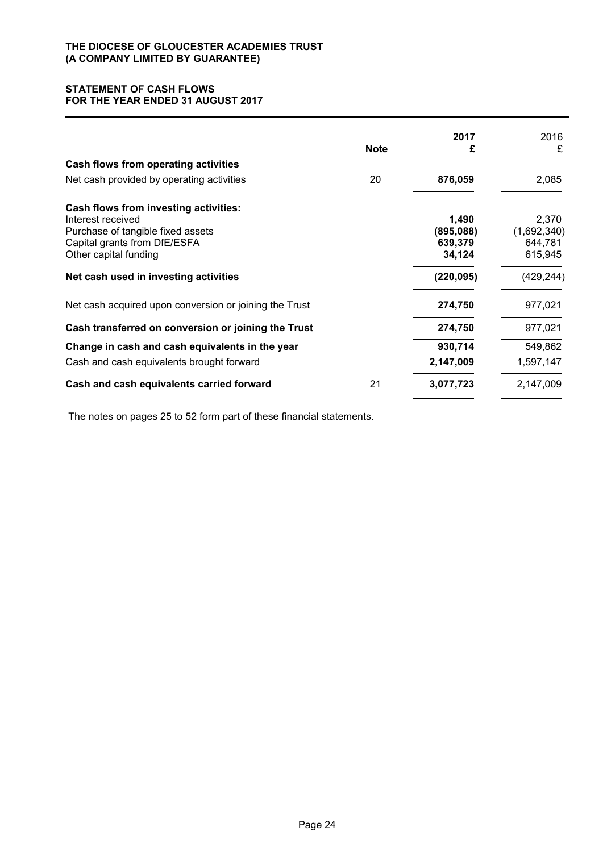### **STATEMENT OF CASH FLOWS FOR THE YEAR ENDED 31 AUGUST 2017**

|                                                                                                                                 | <b>Note</b> | 2017<br>£                     | 2016<br>£                       |
|---------------------------------------------------------------------------------------------------------------------------------|-------------|-------------------------------|---------------------------------|
| Cash flows from operating activities                                                                                            |             |                               |                                 |
| Net cash provided by operating activities                                                                                       | 20          | 876,059                       | 2,085                           |
| Cash flows from investing activities:<br>Interest received<br>Purchase of tangible fixed assets<br>Capital grants from DfE/ESFA |             | 1,490<br>(895,088)<br>639,379 | 2,370<br>(1,692,340)<br>644,781 |
| Other capital funding                                                                                                           |             | 34,124                        | 615,945                         |
| Net cash used in investing activities                                                                                           |             | (220, 095)                    | (429, 244)                      |
| Net cash acquired upon conversion or joining the Trust                                                                          |             | 274,750                       | 977,021                         |
| Cash transferred on conversion or joining the Trust                                                                             |             | 274,750                       | 977,021                         |
| Change in cash and cash equivalents in the year                                                                                 |             | 930,714                       | 549,862                         |
| Cash and cash equivalents brought forward                                                                                       |             | 2,147,009                     | 1,597,147                       |
| Cash and cash equivalents carried forward                                                                                       | 21          | 3,077,723                     | 2,147,009                       |

The notes on pages 25 to 52 form part of these financial statements.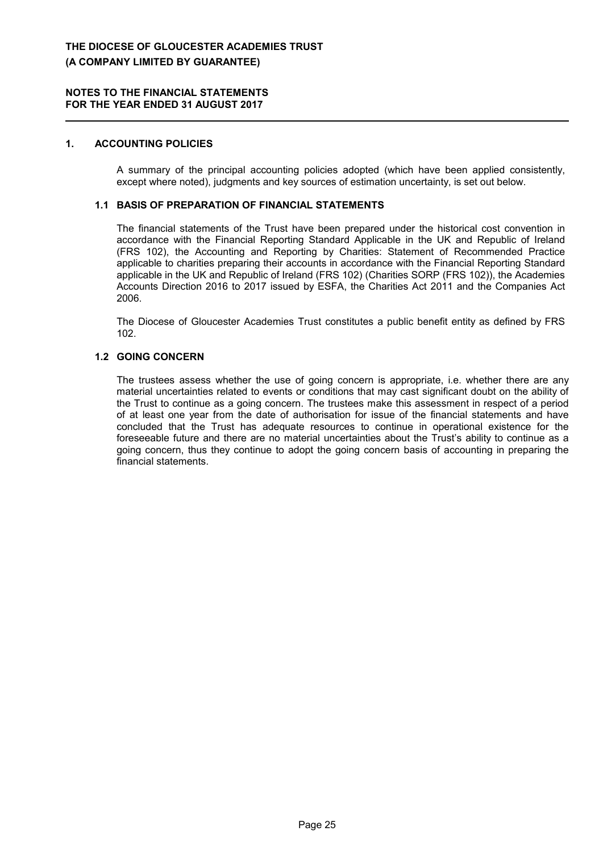### **1. ACCOUNTING POLICIES**

A summary of the principal accounting policies adopted (which have been applied consistently, except where noted), judgments and key sources of estimation uncertainty, is set out below.

### **1.1 BASIS OF PREPARATION OF FINANCIAL STATEMENTS**

The financial statements of the Trust have been prepared under the historical cost convention in accordance with the Financial Reporting Standard Applicable in the UK and Republic of Ireland (FRS 102), the Accounting and Reporting by Charities: Statement of Recommended Practice applicable to charities preparing their accounts in accordance with the Financial Reporting Standard applicable in the UK and Republic of Ireland (FRS 102) (Charities SORP (FRS 102)), the Academies Accounts Direction 2016 to 2017 issued by ESFA, the Charities Act 2011 and the Companies Act 2006.

The Diocese of Gloucester Academies Trust constitutes a public benefit entity as defined by FRS 102.

### **1.2 GOING CONCERN**

The trustees assess whether the use of going concern is appropriate, i.e. whether there are any material uncertainties related to events or conditions that may cast significant doubt on the ability of the Trust to continue as a going concern. The trustees make this assessment in respect of a period of at least one year from the date of authorisation for issue of the financial statements and have concluded that the Trust has adequate resources to continue in operational existence for the foreseeable future and there are no material uncertainties about the Trust's ability to continue as a going concern, thus they continue to adopt the going concern basis of accounting in preparing the financial statements.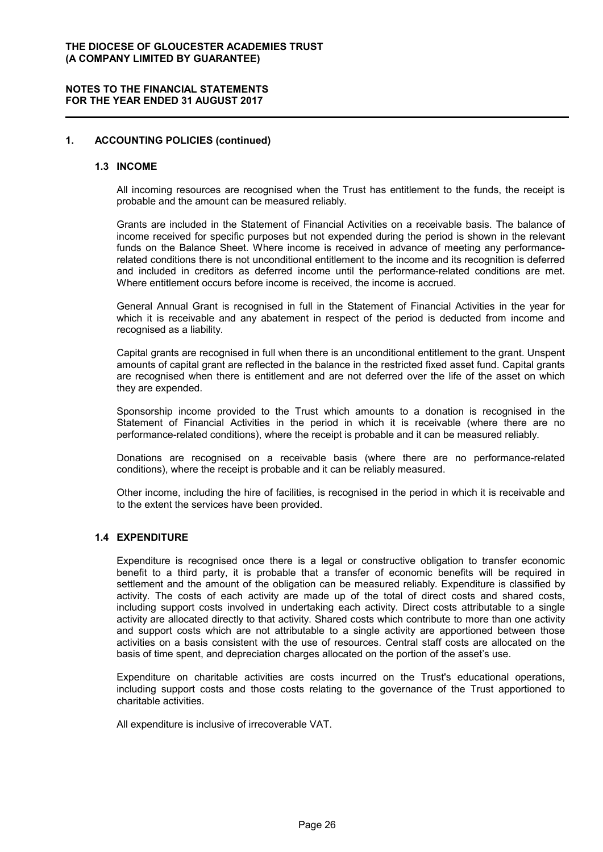#### **1. ACCOUNTING POLICIES (continued)**

#### **1.3 INCOME**

All incoming resources are recognised when the Trust has entitlement to the funds, the receipt is probable and the amount can be measured reliably.

Grants are included in the Statement of Financial Activities on a receivable basis. The balance of income received for specific purposes but not expended during the period is shown in the relevant funds on the Balance Sheet. Where income is received in advance of meeting any performancerelated conditions there is not unconditional entitlement to the income and its recognition is deferred and included in creditors as deferred income until the performance-related conditions are met. Where entitlement occurs before income is received, the income is accrued.

General Annual Grant is recognised in full in the Statement of Financial Activities in the year for which it is receivable and any abatement in respect of the period is deducted from income and recognised as a liability.

Capital grants are recognised in full when there is an unconditional entitlement to the grant. Unspent amounts of capital grant are reflected in the balance in the restricted fixed asset fund. Capital grants are recognised when there is entitlement and are not deferred over the life of the asset on which they are expended.

Sponsorship income provided to the Trust which amounts to a donation is recognised in the Statement of Financial Activities in the period in which it is receivable (where there are no performance-related conditions), where the receipt is probable and it can be measured reliably.

Donations are recognised on a receivable basis (where there are no performance-related conditions), where the receipt is probable and it can be reliably measured.

Other income, including the hire of facilities, is recognised in the period in which it is receivable and to the extent the services have been provided.

### **1.4 EXPENDITURE**

Expenditure is recognised once there is a legal or constructive obligation to transfer economic benefit to a third party, it is probable that a transfer of economic benefits will be required in settlement and the amount of the obligation can be measured reliably. Expenditure is classified by activity. The costs of each activity are made up of the total of direct costs and shared costs, including support costs involved in undertaking each activity. Direct costs attributable to a single activity are allocated directly to that activity. Shared costs which contribute to more than one activity and support costs which are not attributable to a single activity are apportioned between those activities on a basis consistent with the use of resources. Central staff costs are allocated on the basis of time spent, and depreciation charges allocated on the portion of the asset's use.

Expenditure on charitable activities are costs incurred on the Trust's educational operations, including support costs and those costs relating to the governance of the Trust apportioned to charitable activities.

All expenditure is inclusive of irrecoverable VAT.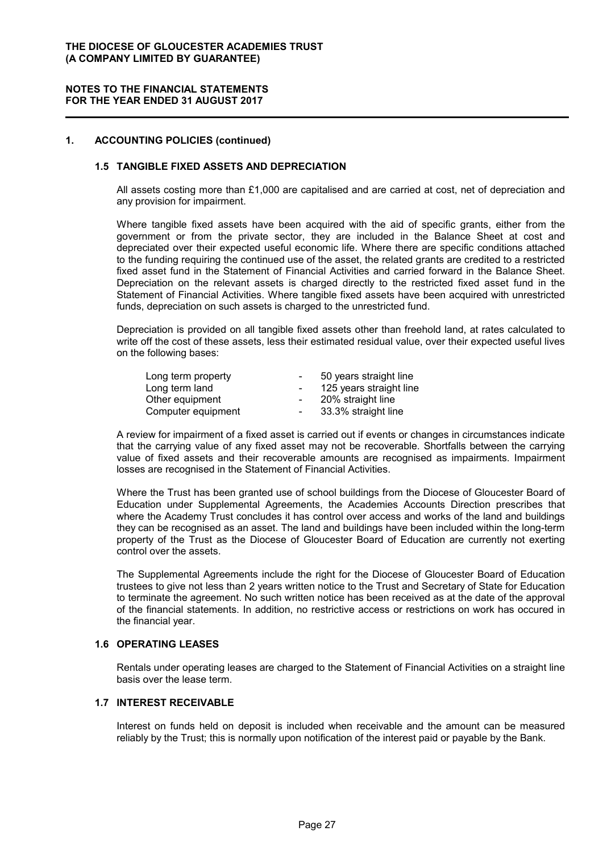#### **1. ACCOUNTING POLICIES (continued)**

### **1.5 TANGIBLE FIXED ASSETS AND DEPRECIATION**

All assets costing more than £1,000 are capitalised and are carried at cost, net of depreciation and any provision for impairment.

Where tangible fixed assets have been acquired with the aid of specific grants, either from the government or from the private sector, they are included in the Balance Sheet at cost and depreciated over their expected useful economic life. Where there are specific conditions attached to the funding requiring the continued use of the asset, the related grants are credited to a restricted fixed asset fund in the Statement of Financial Activities and carried forward in the Balance Sheet. Depreciation on the relevant assets is charged directly to the restricted fixed asset fund in the Statement of Financial Activities. Where tangible fixed assets have been acquired with unrestricted funds, depreciation on such assets is charged to the unrestricted fund.

Depreciation is provided on all tangible fixed assets other than freehold land, at rates calculated to write off the cost of these assets, less their estimated residual value, over their expected useful lives on the following bases:

| Long term property |            | 50 years straight line  |
|--------------------|------------|-------------------------|
| Long term land     |            | 125 years straight line |
| Other equipment    | $\sim$     | 20% straight line       |
| Computer equipment | $\sim$ $-$ | 33.3% straight line     |

A review for impairment of a fixed asset is carried out if events or changes in circumstances indicate that the carrying value of any fixed asset may not be recoverable. Shortfalls between the carrying value of fixed assets and their recoverable amounts are recognised as impairments. Impairment losses are recognised in the Statement of Financial Activities.

Where the Trust has been granted use of school buildings from the Diocese of Gloucester Board of Education under Supplemental Agreements, the Academies Accounts Direction prescribes that where the Academy Trust concludes it has control over access and works of the land and buildings they can be recognised as an asset. The land and buildings have been included within the long-term property of the Trust as the Diocese of Gloucester Board of Education are currently not exerting control over the assets.

The Supplemental Agreements include the right for the Diocese of Gloucester Board of Education trustees to give not less than 2 years written notice to the Trust and Secretary of State for Education to terminate the agreement. No such written notice has been received as at the date of the approval of the financial statements. In addition, no restrictive access or restrictions on work has occured in the financial year.

#### **1.6 OPERATING LEASES**

Rentals under operating leases are charged to the Statement of Financial Activities on a straight line basis over the lease term.

### **1.7 INTEREST RECEIVABLE**

Interest on funds held on deposit is included when receivable and the amount can be measured reliably by the Trust; this is normally upon notification of the interest paid or payable by the Bank.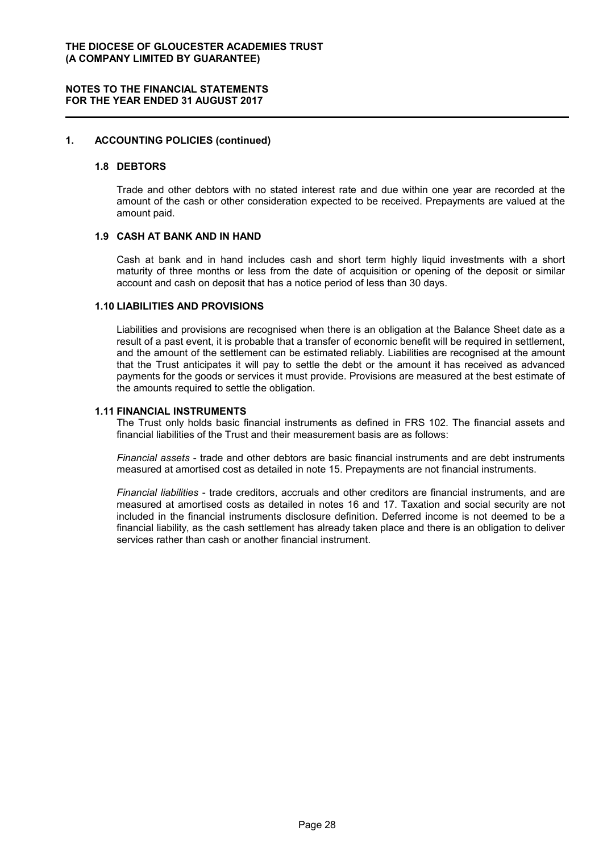### **1. ACCOUNTING POLICIES (continued)**

#### **1.8 DEBTORS**

Trade and other debtors with no stated interest rate and due within one year are recorded at the amount of the cash or other consideration expected to be received. Prepayments are valued at the amount paid.

#### **1.9 CASH AT BANK AND IN HAND**

Cash at bank and in hand includes cash and short term highly liquid investments with a short maturity of three months or less from the date of acquisition or opening of the deposit or similar account and cash on deposit that has a notice period of less than 30 days.

#### **1.10 LIABILITIES AND PROVISIONS**

Liabilities and provisions are recognised when there is an obligation at the Balance Sheet date as a result of a past event, it is probable that a transfer of economic benefit will be required in settlement, and the amount of the settlement can be estimated reliably. Liabilities are recognised at the amount that the Trust anticipates it will pay to settle the debt or the amount it has received as advanced payments for the goods or services it must provide. Provisions are measured at the best estimate of the amounts required to settle the obligation.

#### **1.11 FINANCIAL INSTRUMENTS**

The Trust only holds basic financial instruments as defined in FRS 102. The financial assets and financial liabilities of the Trust and their measurement basis are as follows:

*Financial assets* - trade and other debtors are basic financial instruments and are debt instruments measured at amortised cost as detailed in note 15. Prepayments are not financial instruments.

*Financial liabilities* - trade creditors, accruals and other creditors are financial instruments, and are measured at amortised costs as detailed in notes 16 and 17. Taxation and social security are not included in the financial instruments disclosure definition. Deferred income is not deemed to be a financial liability, as the cash settlement has already taken place and there is an obligation to deliver services rather than cash or another financial instrument.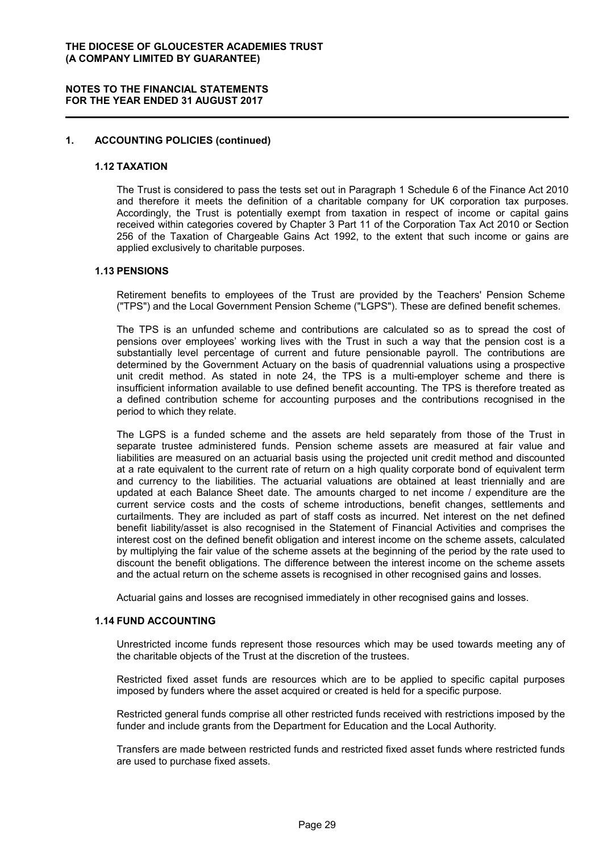#### **1. ACCOUNTING POLICIES (continued)**

#### **1.12 TAXATION**

The Trust is considered to pass the tests set out in Paragraph 1 Schedule 6 of the Finance Act 2010 and therefore it meets the definition of a charitable company for UK corporation tax purposes. Accordingly, the Trust is potentially exempt from taxation in respect of income or capital gains received within categories covered by Chapter 3 Part 11 of the Corporation Tax Act 2010 or Section 256 of the Taxation of Chargeable Gains Act 1992, to the extent that such income or gains are applied exclusively to charitable purposes.

### **1.13 PENSIONS**

Retirement benefits to employees of the Trust are provided by the Teachers' Pension Scheme ("TPS") and the Local Government Pension Scheme ("LGPS"). These are defined benefit schemes.

The TPS is an unfunded scheme and contributions are calculated so as to spread the cost of pensions over employees' working lives with the Trust in such a way that the pension cost is a substantially level percentage of current and future pensionable payroll. The contributions are determined by the Government Actuary on the basis of quadrennial valuations using a prospective unit credit method. As stated in note 24, the TPS is a multi-employer scheme and there is insufficient information available to use defined benefit accounting. The TPS is therefore treated as a defined contribution scheme for accounting purposes and the contributions recognised in the period to which they relate.

The LGPS is a funded scheme and the assets are held separately from those of the Trust in separate trustee administered funds. Pension scheme assets are measured at fair value and liabilities are measured on an actuarial basis using the projected unit credit method and discounted at a rate equivalent to the current rate of return on a high quality corporate bond of equivalent term and currency to the liabilities. The actuarial valuations are obtained at least triennially and are updated at each Balance Sheet date. The amounts charged to net income / expenditure are the current service costs and the costs of scheme introductions, benefit changes, settlements and curtailments. They are included as part of staff costs as incurred. Net interest on the net defined benefit liability/asset is also recognised in the Statement of Financial Activities and comprises the interest cost on the defined benefit obligation and interest income on the scheme assets, calculated by multiplying the fair value of the scheme assets at the beginning of the period by the rate used to discount the benefit obligations. The difference between the interest income on the scheme assets and the actual return on the scheme assets is recognised in other recognised gains and losses.

Actuarial gains and losses are recognised immediately in other recognised gains and losses.

#### **1.14 FUND ACCOUNTING**

Unrestricted income funds represent those resources which may be used towards meeting any of the charitable objects of the Trust at the discretion of the trustees.

Restricted fixed asset funds are resources which are to be applied to specific capital purposes imposed by funders where the asset acquired or created is held for a specific purpose.

Restricted general funds comprise all other restricted funds received with restrictions imposed by the funder and include grants from the Department for Education and the Local Authority.

Transfers are made between restricted funds and restricted fixed asset funds where restricted funds are used to purchase fixed assets.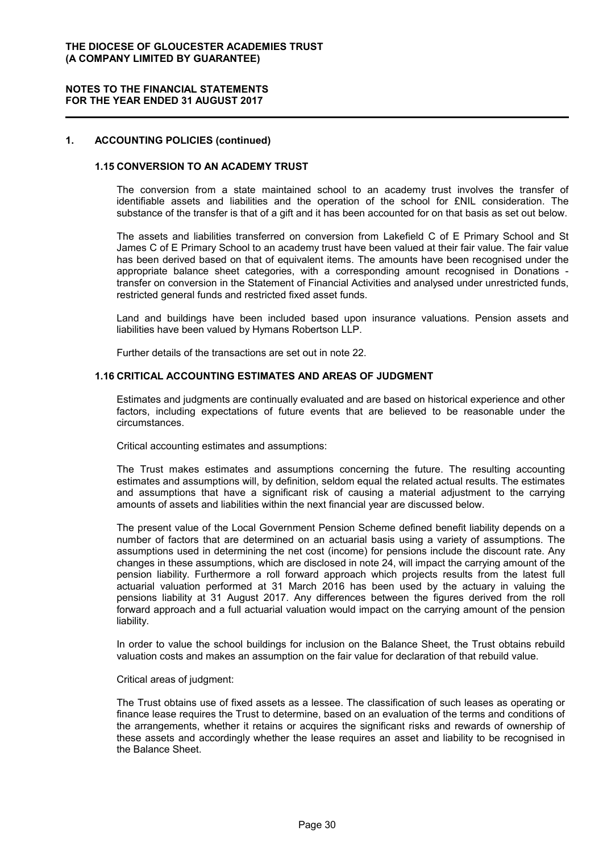#### **1. ACCOUNTING POLICIES (continued)**

### **1.15 CONVERSION TO AN ACADEMY TRUST**

The conversion from a state maintained school to an academy trust involves the transfer of identifiable assets and liabilities and the operation of the school for £NIL consideration. The substance of the transfer is that of a gift and it has been accounted for on that basis as set out below.

The assets and liabilities transferred on conversion from Lakefield C of E Primary School and St James C of E Primary School to an academy trust have been valued at their fair value. The fair value has been derived based on that of equivalent items. The amounts have been recognised under the appropriate balance sheet categories, with a corresponding amount recognised in Donations transfer on conversion in the Statement of Financial Activities and analysed under unrestricted funds, restricted general funds and restricted fixed asset funds.

Land and buildings have been included based upon insurance valuations. Pension assets and liabilities have been valued by Hymans Robertson LLP.

Further details of the transactions are set out in note 22.

### **1.16 CRITICAL ACCOUNTING ESTIMATES AND AREAS OF JUDGMENT**

Estimates and judgments are continually evaluated and are based on historical experience and other factors, including expectations of future events that are believed to be reasonable under the circumstances.

Critical accounting estimates and assumptions:

The Trust makes estimates and assumptions concerning the future. The resulting accounting estimates and assumptions will, by definition, seldom equal the related actual results. The estimates and assumptions that have a significant risk of causing a material adjustment to the carrying amounts of assets and liabilities within the next financial year are discussed below.

The present value of the Local Government Pension Scheme defined benefit liability depends on a number of factors that are determined on an actuarial basis using a variety of assumptions. The assumptions used in determining the net cost (income) for pensions include the discount rate. Any changes in these assumptions, which are disclosed in note 24, will impact the carrying amount of the pension liability. Furthermore a roll forward approach which projects results from the latest full actuarial valuation performed at 31 March 2016 has been used by the actuary in valuing the pensions liability at 31 August 2017. Any differences between the figures derived from the roll forward approach and a full actuarial valuation would impact on the carrying amount of the pension liability.

In order to value the school buildings for inclusion on the Balance Sheet, the Trust obtains rebuild valuation costs and makes an assumption on the fair value for declaration of that rebuild value.

#### Critical areas of judgment:

The Trust obtains use of fixed assets as a lessee. The classification of such leases as operating or finance lease requires the Trust to determine, based on an evaluation of the terms and conditions of the arrangements, whether it retains or acquires the significant risks and rewards of ownership of these assets and accordingly whether the lease requires an asset and liability to be recognised in the Balance Sheet.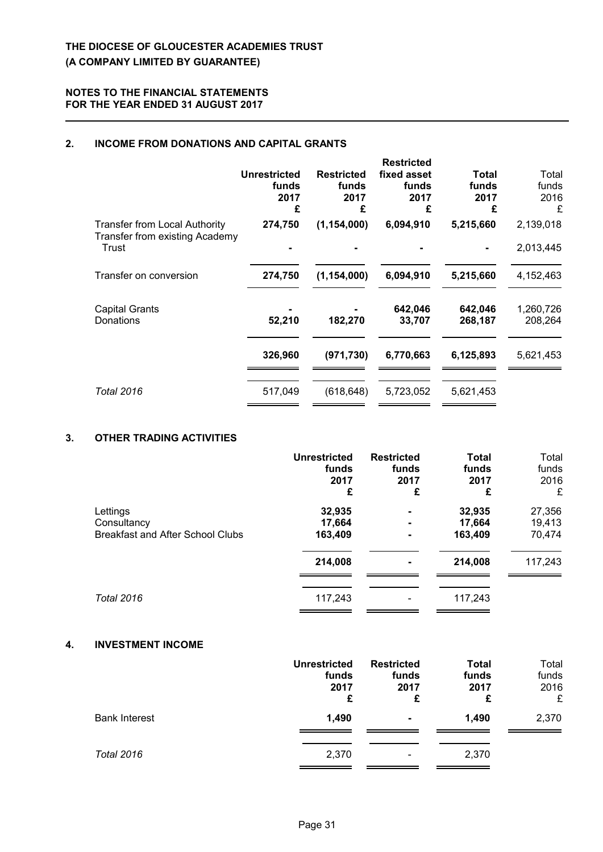### **2. INCOME FROM DONATIONS AND CAPITAL GRANTS**

|                                                                        | <b>Unrestricted</b><br>funds<br>2017<br>£ | <b>Restricted</b><br>funds<br>2017<br>£ | <b>Restricted</b><br>fixed asset<br>funds<br>2017<br>£ | Total<br>funds<br>2017<br>£ | Total<br>funds<br>2016<br>£ |
|------------------------------------------------------------------------|-------------------------------------------|-----------------------------------------|--------------------------------------------------------|-----------------------------|-----------------------------|
| <b>Transfer from Local Authority</b><br>Transfer from existing Academy | 274,750                                   | (1, 154, 000)                           | 6,094,910                                              | 5,215,660                   | 2,139,018                   |
| Trust                                                                  |                                           |                                         |                                                        |                             | 2,013,445                   |
| Transfer on conversion                                                 | 274,750                                   | (1, 154, 000)                           | 6,094,910                                              | 5,215,660                   | 4,152,463                   |
| <b>Capital Grants</b><br>Donations                                     | 52,210                                    | 182,270                                 | 642,046<br>33,707                                      | 642,046<br>268,187          | 1,260,726<br>208,264        |
|                                                                        | 326,960                                   | (971, 730)                              | 6,770,663                                              | 6,125,893                   | 5,621,453                   |
| <b>Total 2016</b>                                                      | 517,049                                   | (618, 648)                              | 5,723,052                                              | 5,621,453                   |                             |

### **3. OTHER TRADING ACTIVITIES**

|                                         | <b>Unrestricted</b> | <b>Restricted</b>        | <b>Total</b> | Total   |
|-----------------------------------------|---------------------|--------------------------|--------------|---------|
|                                         | funds               | funds                    | funds        | funds   |
|                                         | 2017                | 2017                     | 2017         | 2016    |
|                                         | £                   | £                        | £            | £       |
| Lettings                                | 32,935              | $\blacksquare$           | 32,935       | 27,356  |
| Consultancy                             | 17,664              | $\blacksquare$           | 17,664       | 19,413  |
| <b>Breakfast and After School Clubs</b> | 163,409             | $\blacksquare$           | 163,409      | 70,474  |
|                                         | 214,008             | $\blacksquare$           | 214,008      | 117,243 |
| <b>Total 2016</b>                       | 117,243             | $\overline{\phantom{a}}$ | 117,243      |         |

### **4. INVESTMENT INCOME**

|                      | <b>Unrestricted</b><br>funds<br>2017<br>£ | <b>Restricted</b><br>funds<br>2017<br>£ | <b>Total</b><br>funds<br>2017<br>£ | Total<br>funds<br>2016<br>£ |
|----------------------|-------------------------------------------|-----------------------------------------|------------------------------------|-----------------------------|
| <b>Bank Interest</b> | 1,490                                     | $\blacksquare$                          | 1,490                              | 2,370                       |
| <b>Total 2016</b>    | 2,370                                     | -                                       | 2,370                              |                             |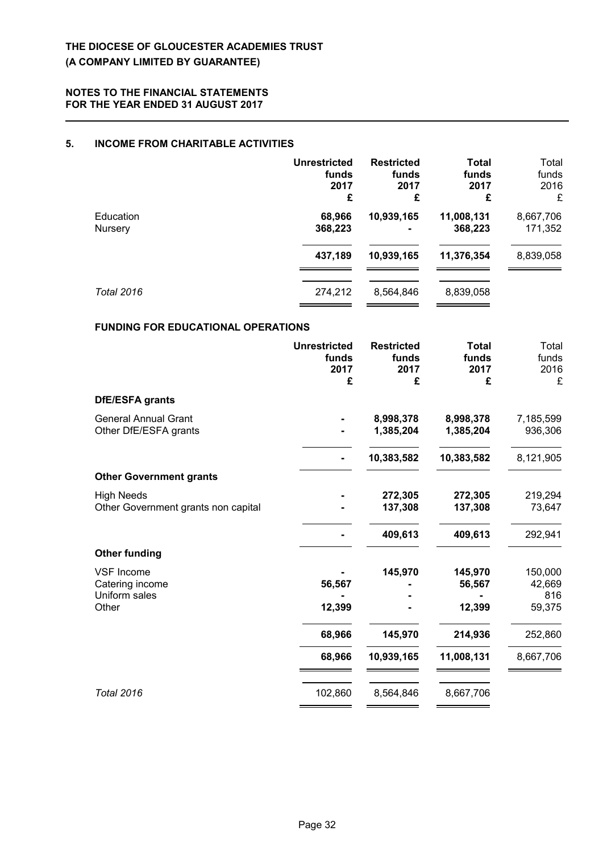### **5. INCOME FROM CHARITABLE ACTIVITIES**

|                                           | <b>Unrestricted</b><br>funds<br>2017<br>£ | <b>Restricted</b><br>funds<br>2017<br>£ | <b>Total</b><br>funds<br>2017<br>£ | Total<br>funds<br>2016<br>£ |
|-------------------------------------------|-------------------------------------------|-----------------------------------------|------------------------------------|-----------------------------|
| Education<br>Nursery                      | 68,966<br>368,223                         | 10,939,165                              | 11,008,131<br>368,223              | 8,667,706<br>171,352        |
|                                           | 437,189                                   | 10,939,165                              | 11,376,354                         | 8,839,058                   |
| <b>Total 2016</b>                         | 274,212                                   | 8,564,846                               | 8,839,058                          |                             |
| <b>FUNDING FOR EDUCATIONAL OPERATIONS</b> |                                           |                                         |                                    |                             |

|                                                                | <b>Unrestricted</b><br>funds<br>2017<br>£ | <b>Restricted</b><br>funds<br>2017<br>£ | <b>Total</b><br>funds<br>2017<br>£ | Total<br>funds<br>2016<br>£        |
|----------------------------------------------------------------|-------------------------------------------|-----------------------------------------|------------------------------------|------------------------------------|
| <b>DfE/ESFA grants</b>                                         |                                           |                                         |                                    |                                    |
| <b>General Annual Grant</b><br>Other DfE/ESFA grants           |                                           | 8,998,378<br>1,385,204                  | 8,998,378<br>1,385,204             | 7,185,599<br>936,306               |
|                                                                |                                           | 10,383,582                              | 10,383,582                         | 8,121,905                          |
| <b>Other Government grants</b>                                 |                                           |                                         |                                    |                                    |
| <b>High Needs</b><br>Other Government grants non capital       |                                           | 272,305<br>137,308                      | 272,305<br>137,308                 | 219,294<br>73,647                  |
|                                                                |                                           | 409,613                                 | 409,613                            | 292,941                            |
| <b>Other funding</b>                                           |                                           |                                         |                                    |                                    |
| <b>VSF Income</b><br>Catering income<br>Uniform sales<br>Other | 56,567<br>12,399                          | 145,970                                 | 145,970<br>56,567<br>12,399        | 150,000<br>42,669<br>816<br>59,375 |
|                                                                | 68,966                                    | 145,970                                 | 214,936                            | 252,860                            |
|                                                                | 68,966                                    | 10,939,165                              | 11,008,131                         | 8,667,706                          |
| <b>Total 2016</b>                                              | 102,860                                   | 8,564,846                               | 8,667,706                          |                                    |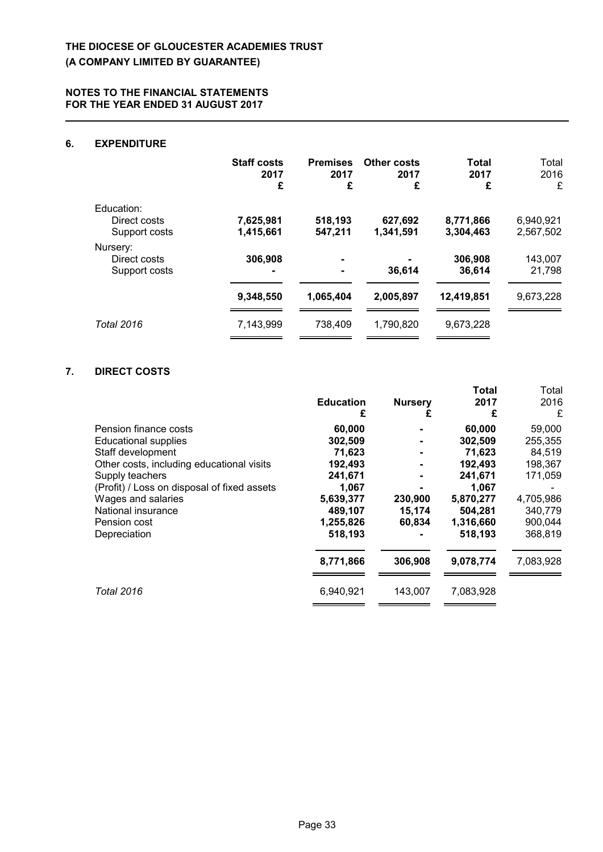### **6. EXPENDITURE**

|                                             | <b>Staff costs</b><br>2017<br>£ | <b>Premises</b><br>2017<br>£ | <b>Other costs</b><br>2017<br>£ | Total<br>2017<br>£     | Total<br>2016<br>£     |
|---------------------------------------------|---------------------------------|------------------------------|---------------------------------|------------------------|------------------------|
| Education:<br>Direct costs<br>Support costs | 7,625,981<br>1,415,661          | 518,193<br>547,211           | 627,692<br>1,341,591            | 8,771,866<br>3,304,463 | 6,940,921<br>2,567,502 |
| Nursery:<br>Direct costs<br>Support costs   | 306,908<br>$\blacksquare$       | ۰                            | 36,614                          | 306,908<br>36,614      | 143,007<br>21,798      |
|                                             | 9,348,550                       | 1,065,404                    | 2,005,897                       | 12,419,851             | 9,673,228              |
| <b>Total 2016</b>                           | 7,143,999                       | 738,409                      | 1,790,820                       | 9,673,228              |                        |

## **7. DIRECT COSTS**

|                                             | <b>Education</b><br>£ | <b>Nursery</b><br>£ | Total<br>2017<br>£ | Total<br>2016<br>£ |
|---------------------------------------------|-----------------------|---------------------|--------------------|--------------------|
| Pension finance costs                       | 60,000                |                     | 60,000             | 59,000             |
| <b>Educational supplies</b>                 | 302,509               |                     | 302,509            | 255,355            |
| Staff development                           | 71,623                |                     | 71,623             | 84,519             |
| Other costs, including educational visits   | 192,493               |                     | 192,493            | 198,367            |
| Supply teachers                             | 241,671               | $\blacksquare$      | 241,671            | 171,059            |
| (Profit) / Loss on disposal of fixed assets | 1,067                 |                     | 1,067              |                    |
| Wages and salaries                          | 5,639,377             | 230,900             | 5,870,277          | 4,705,986          |
| National insurance                          | 489,107               | 15,174              | 504,281            | 340,779            |
| Pension cost                                | 1,255,826             | 60,834              | 1,316,660          | 900,044            |
| Depreciation                                | 518,193               |                     | 518,193            | 368,819            |
|                                             | 8,771,866             | 306,908             | 9,078,774          | 7,083,928          |
| Total 2016                                  | 6,940,921             | 143,007             | 7,083,928          |                    |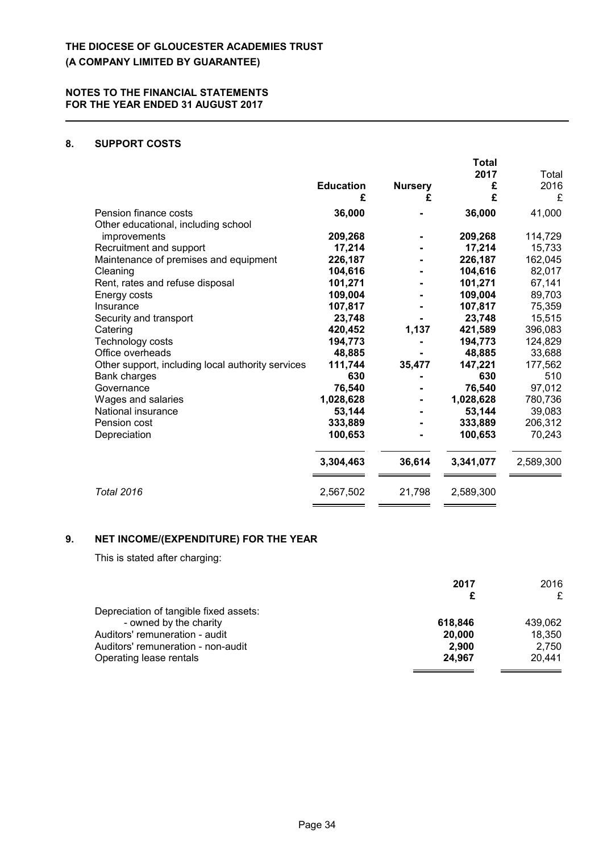### **8. SUPPORT COSTS**

|                                                                                                                                                                                                                                                                                                                                                                                                                                                  | <b>Education</b><br>£                                                                                                                                                                       | <b>Nursery</b><br>£ | Total<br>2017<br>£<br>£                                                                                                                                                                     | Total<br>2016<br>£                                                                                                                                                                   |
|--------------------------------------------------------------------------------------------------------------------------------------------------------------------------------------------------------------------------------------------------------------------------------------------------------------------------------------------------------------------------------------------------------------------------------------------------|---------------------------------------------------------------------------------------------------------------------------------------------------------------------------------------------|---------------------|---------------------------------------------------------------------------------------------------------------------------------------------------------------------------------------------|--------------------------------------------------------------------------------------------------------------------------------------------------------------------------------------|
| Pension finance costs                                                                                                                                                                                                                                                                                                                                                                                                                            | 36,000                                                                                                                                                                                      |                     | 36,000                                                                                                                                                                                      | 41,000                                                                                                                                                                               |
| Other educational, including school<br>improvements<br>Recruitment and support<br>Maintenance of premises and equipment<br>Cleaning<br>Rent, rates and refuse disposal<br>Energy costs<br>Insurance<br>Security and transport<br>Catering<br>Technology costs<br>Office overheads<br>Other support, including local authority services<br>Bank charges<br>Governance<br>Wages and salaries<br>National insurance<br>Pension cost<br>Depreciation | 209,268<br>17,214<br>226,187<br>104,616<br>101,271<br>109,004<br>107,817<br>23,748<br>420,452<br>194,773<br>48,885<br>111,744<br>630<br>76,540<br>1,028,628<br>53,144<br>333,889<br>100,653 | 1,137<br>35,477     | 209,268<br>17,214<br>226,187<br>104,616<br>101,271<br>109,004<br>107,817<br>23,748<br>421,589<br>194,773<br>48,885<br>147,221<br>630<br>76,540<br>1,028,628<br>53,144<br>333,889<br>100,653 | 114,729<br>15,733<br>162,045<br>82,017<br>67,141<br>89,703<br>75,359<br>15,515<br>396,083<br>124,829<br>33,688<br>177,562<br>510<br>97,012<br>780,736<br>39,083<br>206,312<br>70,243 |
|                                                                                                                                                                                                                                                                                                                                                                                                                                                  | 3,304,463                                                                                                                                                                                   | 36,614              | 3,341,077                                                                                                                                                                                   | 2,589,300                                                                                                                                                                            |
| <b>Total 2016</b>                                                                                                                                                                                                                                                                                                                                                                                                                                | 2,567,502                                                                                                                                                                                   | 21,798              | 2,589,300                                                                                                                                                                                   |                                                                                                                                                                                      |

# **9. NET INCOME/(EXPENDITURE) FOR THE YEAR**

This is stated after charging:

|                                        | 2017    | 2016    |
|----------------------------------------|---------|---------|
|                                        |         |         |
| Depreciation of tangible fixed assets: |         |         |
| - owned by the charity                 | 618,846 | 439,062 |
| Auditors' remuneration - audit         | 20,000  | 18,350  |
| Auditors' remuneration - non-audit     | 2.900   | 2,750   |
| Operating lease rentals                | 24.967  | 20,441  |
|                                        |         |         |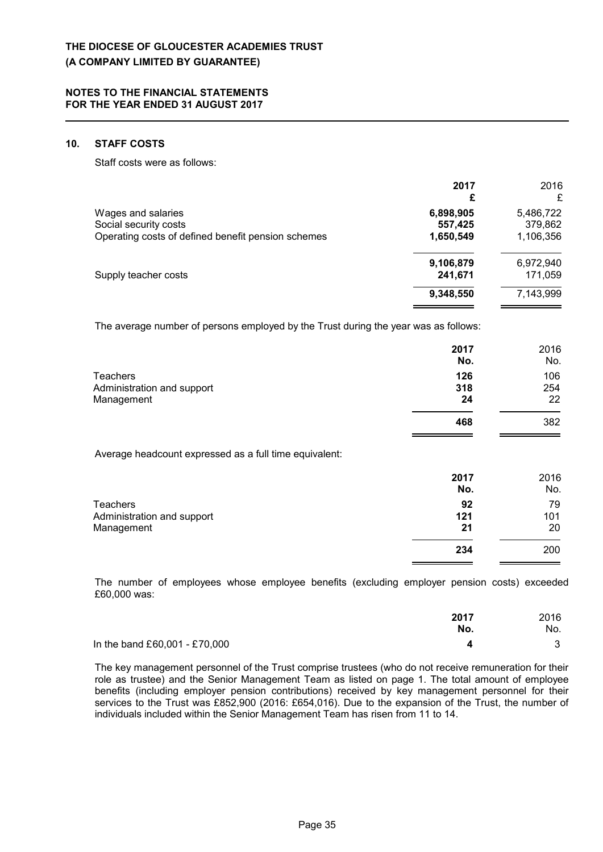### **10. STAFF COSTS**

Staff costs were as follows:

|                                                                                                   | 2017<br>£                         | 2016                              |
|---------------------------------------------------------------------------------------------------|-----------------------------------|-----------------------------------|
| Wages and salaries<br>Social security costs<br>Operating costs of defined benefit pension schemes | 6,898,905<br>557,425<br>1,650,549 | 5,486,722<br>379,862<br>1,106,356 |
| Supply teacher costs                                                                              | 9,106,879<br>241,671              | 6,972,940<br>171,059              |
|                                                                                                   | 9,348,550                         | 7,143,999                         |

The average number of persons employed by the Trust during the year was as follows:

|                            | 2017<br>No. | 2016<br>No. |
|----------------------------|-------------|-------------|
| <b>Teachers</b>            | 126         | 106         |
| Administration and support | 318         | 254         |
| Management                 | 24          | 22          |
|                            | 468         | 382         |
|                            |             |             |

Average headcount expressed as a full time equivalent:

|                            | 2017 | 2016 |
|----------------------------|------|------|
|                            | No.  | No.  |
| Teachers                   | 92   | 79   |
| Administration and support | 121  | 101  |
| Management                 | 21   | 20   |
|                            | 234  | 200  |

The number of employees whose employee benefits (excluding employer pension costs) exceeded £60,000 was:

|                               | 2017<br>No. | 2016<br>No. |
|-------------------------------|-------------|-------------|
| In the band £60,001 - £70,000 |             |             |

The key management personnel of the Trust comprise trustees (who do not receive remuneration for their role as trustee) and the Senior Management Team as listed on page 1. The total amount of employee benefits (including employer pension contributions) received by key management personnel for their services to the Trust was £852,900 (2016: £654,016). Due to the expansion of the Trust, the number of individuals included within the Senior Management Team has risen from 11 to 14.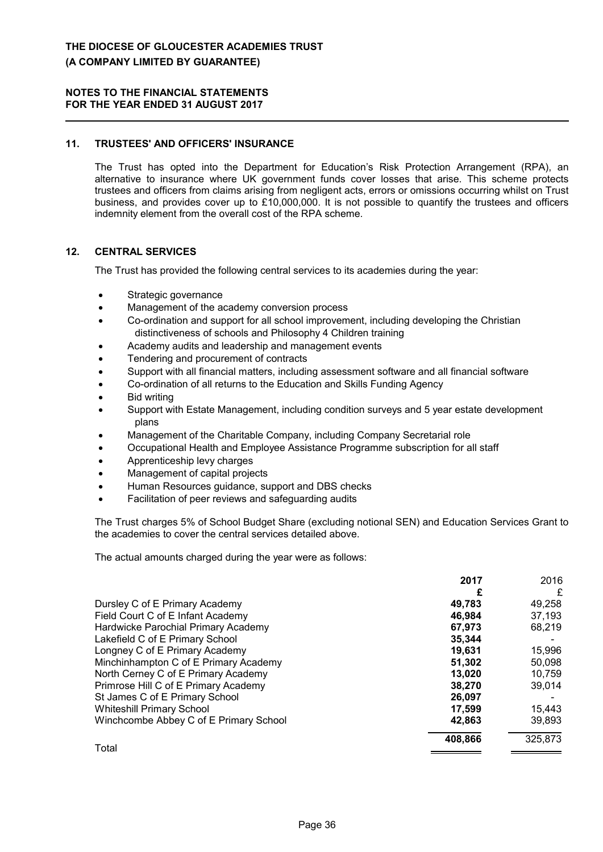### **11. TRUSTEES' AND OFFICERS' INSURANCE**

The Trust has opted into the Department for Education's Risk Protection Arrangement (RPA), an alternative to insurance where UK government funds cover losses that arise. This scheme protects trustees and officers from claims arising from negligent acts, errors or omissions occurring whilst on Trust business, and provides cover up to £10,000,000. It is not possible to quantify the trustees and officers indemnity element from the overall cost of the RPA scheme.

### **12. CENTRAL SERVICES**

The Trust has provided the following central services to its academies during the year:

- Strategic governance
- Management of the academy conversion process
- Co-ordination and support for all school improvement, including developing the Christian distinctiveness of schools and Philosophy 4 Children training
- Academy audits and leadership and management events
- Tendering and procurement of contracts
- Support with all financial matters, including assessment software and all financial software
- Co-ordination of all returns to the Education and Skills Funding Agency
- Bid writing
- Support with Estate Management, including condition surveys and 5 year estate development plans
- Management of the Charitable Company, including Company Secretarial role
- Occupational Health and Employee Assistance Programme subscription for all staff
- Apprenticeship levy charges
- Management of capital projects
- Human Resources guidance, support and DBS checks
- Facilitation of peer reviews and safeguarding audits

The Trust charges 5% of School Budget Share (excluding notional SEN) and Education Services Grant to the academies to cover the central services detailed above.

The actual amounts charged during the year were as follows:

|                                        | 2017    | 2016    |
|----------------------------------------|---------|---------|
|                                        |         | £       |
| Dursley C of E Primary Academy         | 49,783  | 49,258  |
| Field Court C of E Infant Academy      | 46.984  | 37,193  |
| Hardwicke Parochial Primary Academy    | 67.973  | 68,219  |
| Lakefield C of E Primary School        | 35.344  |         |
| Longney C of E Primary Academy         | 19,631  | 15,996  |
| Minchinhampton C of E Primary Academy  | 51.302  | 50,098  |
| North Cerney C of E Primary Academy    | 13.020  | 10,759  |
| Primrose Hill C of E Primary Academy   | 38,270  | 39,014  |
| St James C of E Primary School         | 26.097  |         |
| <b>Whiteshill Primary School</b>       | 17.599  | 15,443  |
| Winchcombe Abbey C of E Primary School | 42,863  | 39,893  |
|                                        | 408,866 | 325,873 |
| Total                                  |         |         |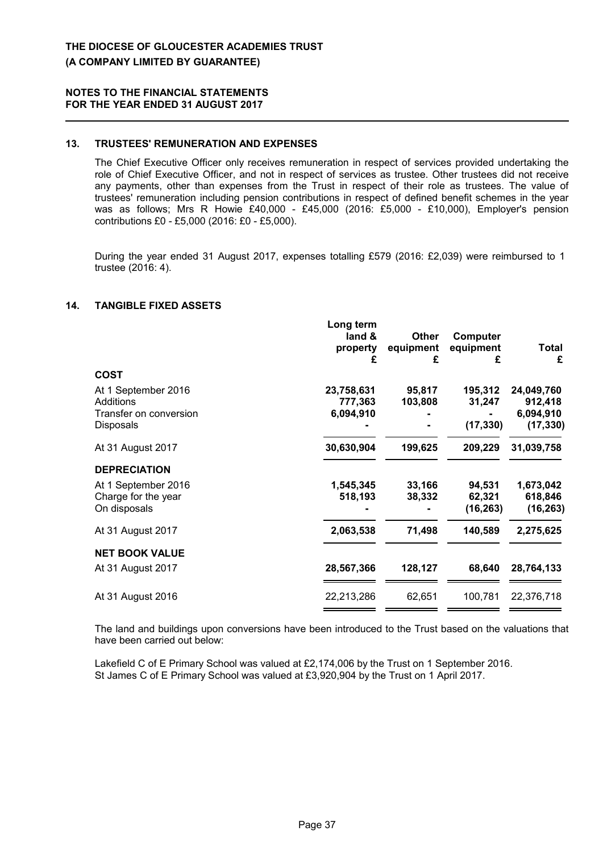### **13. TRUSTEES' REMUNERATION AND EXPENSES**

The Chief Executive Officer only receives remuneration in respect of services provided undertaking the role of Chief Executive Officer, and not in respect of services as trustee. Other trustees did not receive any payments, other than expenses from the Trust in respect of their role as trustees. The value of trustees' remuneration including pension contributions in respect of defined benefit schemes in the year was as follows; Mrs R Howie £40,000 - £45,000 (2016: £5,000 - £10,000), Employer's pension contributions £0 - £5,000 (2016: £0 - £5,000).

During the year ended 31 August 2017, expenses totalling £579 (2016: £2,039) were reimbursed to 1 trustee (2016: 4).

### **14. TANGIBLE FIXED ASSETS**

|                        | Long term<br>land &<br>property<br>£ | <b>Other</b><br>equipment<br>£ | Computer<br>equipment<br>£ | <b>Total</b><br>£ |
|------------------------|--------------------------------------|--------------------------------|----------------------------|-------------------|
| <b>COST</b>            |                                      |                                |                            |                   |
| At 1 September 2016    | 23,758,631                           | 95,817                         | 195,312                    | 24,049,760        |
| Additions              | 777,363                              | 103,808                        | 31,247                     | 912,418           |
| Transfer on conversion | 6,094,910                            |                                |                            | 6,094,910         |
| Disposals              |                                      |                                | (17, 330)                  | (17, 330)         |
| At 31 August 2017      | 30,630,904                           | 199,625                        | 209,229                    | 31,039,758        |
| <b>DEPRECIATION</b>    |                                      |                                |                            |                   |
| At 1 September 2016    | 1,545,345                            | 33,166                         | 94,531                     | 1,673,042         |
| Charge for the year    | 518,193                              | 38,332                         | 62,321                     | 618,846           |
| On disposals           |                                      |                                | (16, 263)                  | (16, 263)         |
| At 31 August 2017      | 2,063,538                            | 71,498                         | 140,589                    | 2,275,625         |
| <b>NET BOOK VALUE</b>  |                                      |                                |                            |                   |
| At 31 August 2017      | 28,567,366                           | 128,127                        | 68,640                     | 28,764,133        |
| At 31 August 2016      | 22,213,286                           | 62,651                         | 100,781                    | 22,376,718        |
|                        |                                      |                                |                            |                   |

The land and buildings upon conversions have been introduced to the Trust based on the valuations that have been carried out below:

Lakefield C of E Primary School was valued at £2,174,006 by the Trust on 1 September 2016. St James C of E Primary School was valued at £3,920,904 by the Trust on 1 April 2017.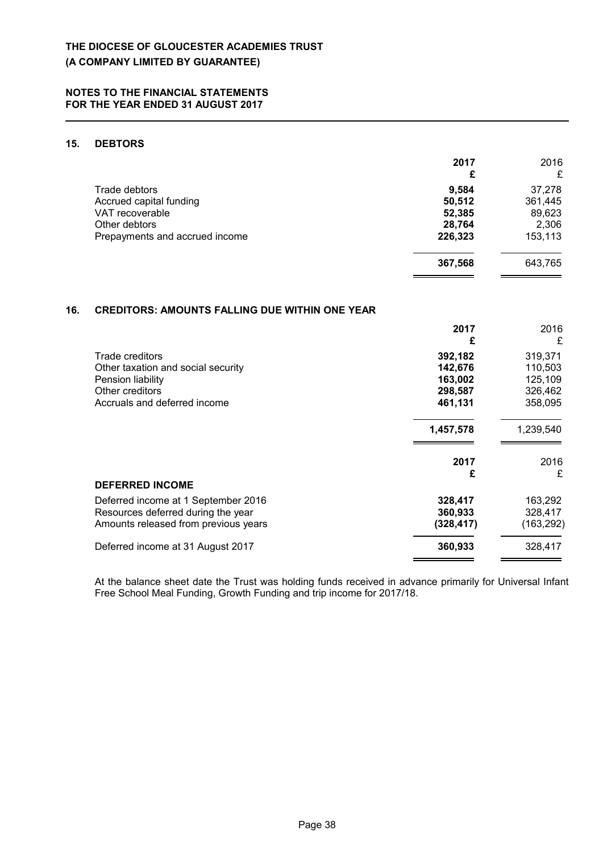### **15. DEBTORS**

|                                | 2017<br>£ | 2016<br>£ |
|--------------------------------|-----------|-----------|
| Trade debtors                  | 9,584     | 37,278    |
| Accrued capital funding        | 50,512    | 361,445   |
| VAT recoverable                | 52,385    | 89,623    |
| Other debtors                  | 28,764    | 2,306     |
| Prepayments and accrued income | 226,323   | 153,113   |
|                                | 367,568   | 643,765   |

### **16. CREDITORS: AMOUNTS FALLING DUE WITHIN ONE YEAR**

|                                      | 2017<br>£ | 2016<br>£  |
|--------------------------------------|-----------|------------|
| Trade creditors                      | 392,182   | 319,371    |
| Other taxation and social security   | 142,676   | 110,503    |
| Pension liability                    | 163,002   | 125,109    |
| Other creditors                      | 298,587   | 326,462    |
| Accruals and deferred income         | 461,131   | 358,095    |
|                                      | 1,457,578 | 1,239,540  |
|                                      | 2017      | 2016       |
|                                      | £         | £          |
| <b>DEFERRED INCOME</b>               |           |            |
| Deferred income at 1 September 2016  | 328,417   | 163,292    |
| Resources deferred during the year   | 360,933   | 328,417    |
| Amounts released from previous years | (328,417) | (163, 292) |
| Deferred income at 31 August 2017    | 360,933   | 328,417    |
|                                      |           |            |

At the balance sheet date the Trust was holding funds received in advance primarily for Universal Infant Free School Meal Funding, Growth Funding and trip income for 2017/18.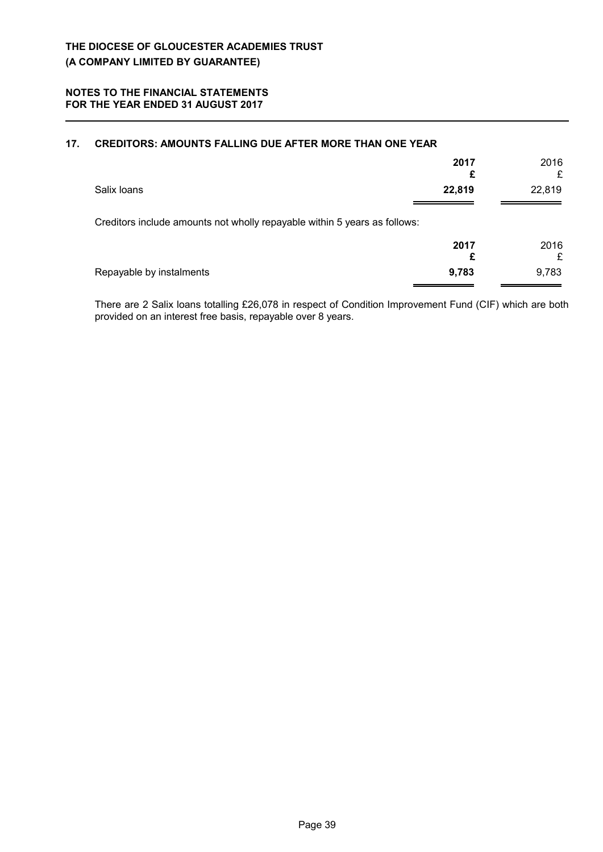| 17. | <b>CREDITORS: AMOUNTS FALLING DUE AFTER MORE THAN ONE YEAR</b>            |           |           |
|-----|---------------------------------------------------------------------------|-----------|-----------|
|     |                                                                           | 2017<br>£ | 2016<br>£ |
|     | Salix Ioans                                                               | 22,819    | 22,819    |
|     | Creditors include amounts not wholly repayable within 5 years as follows: |           |           |
|     |                                                                           | 2017<br>£ | 2016<br>£ |
|     | Repayable by instalments                                                  | 9,783     | 9,783     |

There are 2 Salix loans totalling £26,078 in respect of Condition Improvement Fund (CIF) which are both provided on an interest free basis, repayable over 8 years.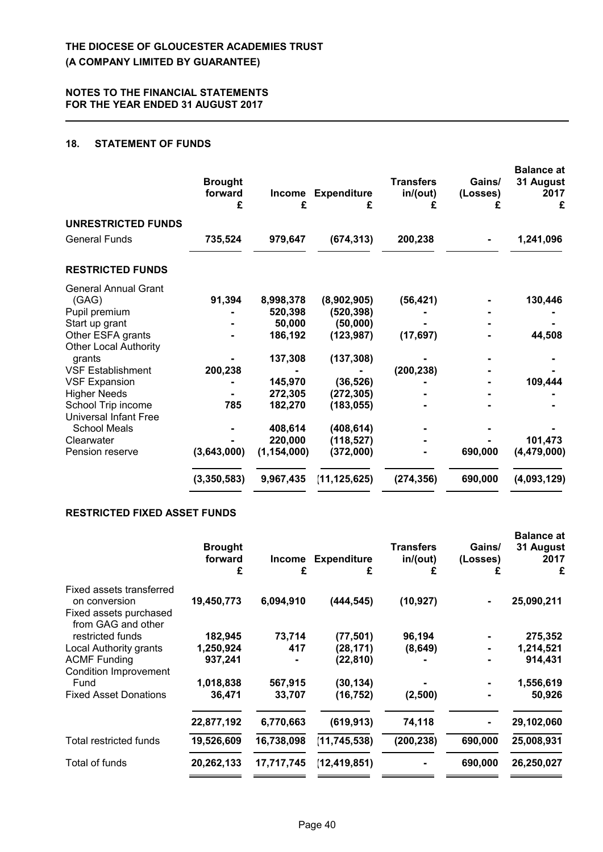### **18. STATEMENT OF FUNDS**

|                              | <b>Brought</b><br>forward<br>£ | Income<br>£   | <b>Expenditure</b><br>£ | <b>Transfers</b><br>in/(out) | Gains/<br>(Losses) | <b>Balance</b> at<br>31 August<br>2017<br>£ |
|------------------------------|--------------------------------|---------------|-------------------------|------------------------------|--------------------|---------------------------------------------|
| <b>UNRESTRICTED FUNDS</b>    |                                |               |                         |                              |                    |                                             |
| <b>General Funds</b>         | 735,524                        | 979,647       | (674, 313)              | 200,238                      |                    | 1,241,096                                   |
| <b>RESTRICTED FUNDS</b>      |                                |               |                         |                              |                    |                                             |
| <b>General Annual Grant</b>  |                                |               |                         |                              |                    |                                             |
| (GAG)                        | 91,394                         | 8,998,378     | (8,902,905)             | (56, 421)                    |                    | 130,446                                     |
| Pupil premium                |                                | 520,398       | (520, 398)              |                              |                    |                                             |
| Start up grant               |                                | 50,000        | (50,000)                |                              |                    |                                             |
| Other ESFA grants            |                                | 186,192       | (123, 987)              | (17, 697)                    |                    | 44,508                                      |
| <b>Other Local Authority</b> |                                |               |                         |                              |                    |                                             |
| grants                       |                                | 137,308       | (137, 308)              |                              |                    |                                             |
| <b>VSF Establishment</b>     | 200,238                        |               |                         | (200, 238)                   |                    |                                             |
| <b>VSF Expansion</b>         |                                | 145,970       | (36, 526)               |                              |                    | 109,444                                     |
| <b>Higher Needs</b>          |                                | 272,305       | (272, 305)              |                              |                    |                                             |
| School Trip income           | 785                            | 182,270       | (183, 055)              |                              |                    |                                             |
| Universal Infant Free        |                                |               |                         |                              |                    |                                             |
| <b>School Meals</b>          |                                | 408,614       | (408, 614)              |                              |                    |                                             |
| Clearwater                   |                                | 220,000       | (118, 527)              |                              |                    | 101,473                                     |
| Pension reserve              | (3,643,000)                    | (1, 154, 000) | (372,000)               |                              | 690,000            | (4, 479, 000)                               |
|                              | (3,350,583)                    | 9,967,435     | (11, 125, 625)          | (274, 356)                   | 690,000            | (4,093,129)                                 |

### **RESTRICTED FIXED ASSET FUNDS**

|                                                                                           | <b>Brought</b><br>forward<br>£ | Income<br>£ | <b>Expenditure</b><br>£ | <b>Transfers</b><br>in/(out)<br>£ | Gains/<br>(Losses)<br>£ | <b>Balance at</b><br>31 August<br>2017<br>£ |
|-------------------------------------------------------------------------------------------|--------------------------------|-------------|-------------------------|-----------------------------------|-------------------------|---------------------------------------------|
| Fixed assets transferred<br>on conversion<br>Fixed assets purchased<br>from GAG and other | 19,450,773                     | 6,094,910   | (444, 545)              | (10, 927)                         |                         | 25,090,211                                  |
| restricted funds                                                                          | 182,945                        | 73,714      | (77, 501)               | 96,194                            |                         | 275,352                                     |
| Local Authority grants                                                                    | 1,250,924                      | 417         | (28, 171)               | (8,649)                           |                         | 1,214,521                                   |
| <b>ACMF Funding</b>                                                                       | 937,241                        |             | (22, 810)               |                                   |                         | 914,431                                     |
| <b>Condition Improvement</b><br>Fund                                                      | 1,018,838                      | 567,915     | (30, 134)               |                                   |                         | 1,556,619                                   |
| <b>Fixed Asset Donations</b>                                                              | 36,471                         | 33,707      | (16, 752)               | (2,500)                           |                         | 50,926                                      |
|                                                                                           | 22,877,192                     | 6,770,663   | (619, 913)              | 74,118                            |                         | 29,102,060                                  |
| Total restricted funds                                                                    | 19,526,609                     | 16,738,098  | (11, 745, 538)          | (200, 238)                        | 690,000                 | 25,008,931                                  |
| Total of funds                                                                            | 20,262,133                     | 17,717,745  | (12, 419, 851)          |                                   | 690,000                 | 26,250,027                                  |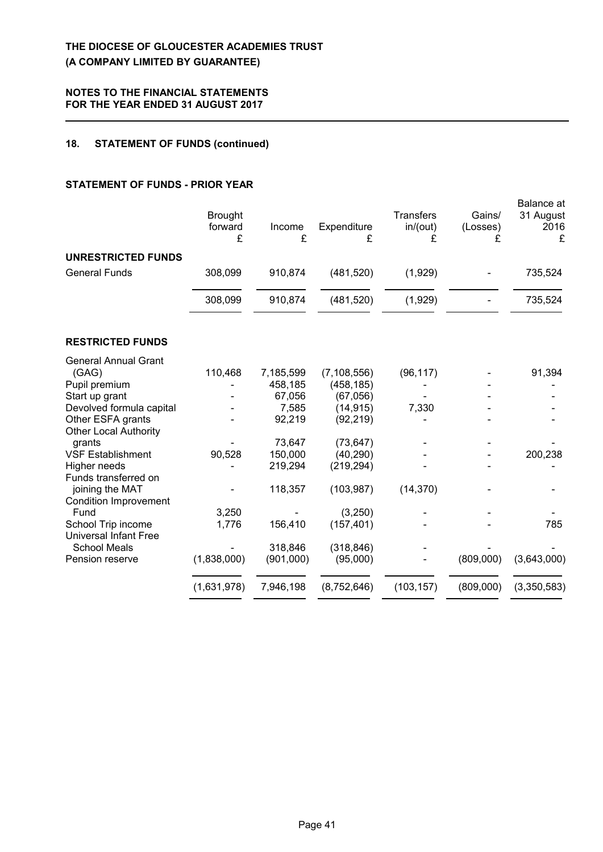### **18. STATEMENT OF FUNDS (continued)**

# **STATEMENT OF FUNDS - PRIOR YEAR**

|                                                   | <b>Brought</b><br>forward<br>£ | Income<br>£ | Expenditure<br>£ | <b>Transfers</b><br>in/(out)<br>£ | Gains/<br>(Losses)<br>£ | Balance at<br>31 August<br>2016<br>£ |
|---------------------------------------------------|--------------------------------|-------------|------------------|-----------------------------------|-------------------------|--------------------------------------|
| UNRESTRICTED FUNDS                                |                                |             |                  |                                   |                         |                                      |
| <b>General Funds</b>                              | 308,099                        | 910,874     | (481, 520)       | (1,929)                           |                         | 735,524                              |
|                                                   | 308,099                        | 910,874     | (481, 520)       | (1,929)                           |                         | 735,524                              |
| <b>RESTRICTED FUNDS</b>                           |                                |             |                  |                                   |                         |                                      |
| <b>General Annual Grant</b>                       |                                |             |                  |                                   |                         |                                      |
| (GAG)                                             | 110,468                        | 7,185,599   | (7, 108, 556)    | (96, 117)                         |                         | 91,394                               |
| Pupil premium                                     |                                | 458,185     | (458, 185)       |                                   |                         |                                      |
| Start up grant                                    |                                | 67,056      | (67,056)         |                                   |                         |                                      |
| Devolved formula capital                          |                                | 7,585       | (14, 915)        | 7,330                             |                         |                                      |
| Other ESFA grants<br><b>Other Local Authority</b> |                                | 92,219      | (92, 219)        |                                   |                         |                                      |
| grants                                            |                                | 73,647      | (73, 647)        |                                   |                         |                                      |
| <b>VSF Establishment</b>                          | 90,528                         | 150,000     | (40, 290)        |                                   |                         | 200,238                              |
| Higher needs                                      |                                | 219,294     | (219, 294)       |                                   |                         |                                      |
| Funds transferred on                              |                                |             |                  |                                   |                         |                                      |
| joining the MAT                                   |                                | 118,357     | (103, 987)       | (14, 370)                         |                         |                                      |
| <b>Condition Improvement</b>                      |                                |             |                  |                                   |                         |                                      |
| Fund                                              | 3,250                          |             | (3,250)          |                                   |                         |                                      |
| School Trip income                                | 1,776                          | 156,410     | (157, 401)       |                                   |                         | 785                                  |
| <b>Universal Infant Free</b>                      |                                |             |                  |                                   |                         |                                      |
| <b>School Meals</b>                               |                                | 318,846     | (318, 846)       |                                   |                         |                                      |
| Pension reserve                                   | (1,838,000)                    | (901,000)   | (95,000)         |                                   | (809,000)               | (3,643,000)                          |
|                                                   | (1,631,978)                    | 7,946,198   | (8,752,646)      | (103, 157)                        | (809,000)               | (3,350,583)                          |
|                                                   |                                |             |                  |                                   |                         |                                      |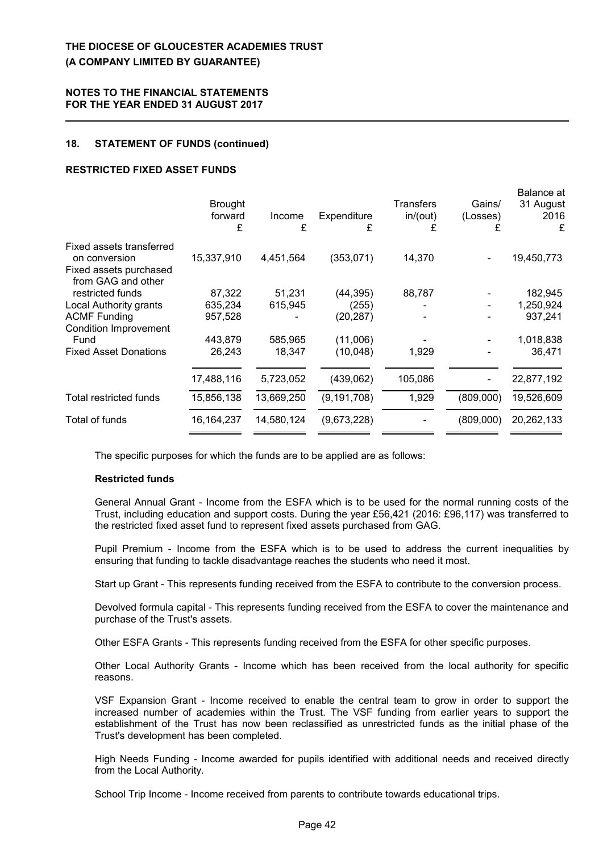#### **18. STATEMENT OF FUNDS (continued)**

### **RESTRICTED FIXED ASSET FUNDS**

|                                                                                           | <b>Brought</b><br>forward<br>£ | Income<br>£ | Expenditure<br>£ | Transfers<br>in/(out) | Gains/<br>(Losses)<br>£ | Balance at<br>31 August<br>2016<br>£ |
|-------------------------------------------------------------------------------------------|--------------------------------|-------------|------------------|-----------------------|-------------------------|--------------------------------------|
| Fixed assets transferred<br>on conversion<br>Fixed assets purchased<br>from GAG and other | 15,337,910                     | 4,451,564   | (353,071)        | 14,370                |                         | 19,450,773                           |
| restricted funds                                                                          | 87,322                         | 51,231      | (44,395)         | 88,787                |                         | 182,945                              |
| Local Authority grants                                                                    | 635,234                        | 615,945     | (255)            |                       |                         | 1,250,924                            |
| <b>ACMF Funding</b>                                                                       | 957,528                        |             | (20,287)         |                       |                         | 937,241                              |
| <b>Condition Improvement</b>                                                              |                                |             |                  |                       |                         |                                      |
| Fund                                                                                      | 443,879                        | 585,965     | (11,006)         |                       |                         | 1,018,838                            |
| <b>Fixed Asset Donations</b>                                                              | 26,243                         | 18,347      | (10, 048)        | 1,929                 |                         | 36,471                               |
|                                                                                           | 17,488,116                     | 5,723,052   | (439,062)        | 105,086               |                         | 22,877,192                           |
| Total restricted funds                                                                    | 15,856,138                     | 13,669,250  | (9, 191, 708)    | 1,929                 | (809,000)               | 19,526,609                           |
| Total of funds                                                                            | 16, 164, 237                   | 14,580,124  | (9,673,228)      |                       | (809,000)               | 20,262,133                           |
|                                                                                           |                                |             |                  |                       |                         |                                      |

The specific purposes for which the funds are to be applied are as follows:

#### **Restricted funds**

General Annual Grant - Income from the ESFA which is to be used for the normal running costs of the Trust, including education and support costs. During the year £56,421 (2016: £96,117) was transferred to the restricted fixed asset fund to represent fixed assets purchased from GAG.

Pupil Premium - Income from the ESFA which is to be used to address the current inequalities by ensuring that funding to tackle disadvantage reaches the students who need it most.

Start up Grant - This represents funding received from the ESFA to contribute to the conversion process.

Devolved formula capital - This represents funding received from the ESFA to cover the maintenance and purchase of the Trust's assets.

Other ESFA Grants - This represents funding received from the ESFA for other specific purposes.

Other Local Authority Grants - Income which has been received from the local authority for specific reasons.

VSF Expansion Grant - Income received to enable the central team to grow in order to support the increased number of academies within the Trust. The VSF funding from earlier years to support the establishment of the Trust has now been reclassified as unrestricted funds as the initial phase of the Trust's development has been completed.

High Needs Funding - Income awarded for pupils identified with additional needs and received directly from the Local Authority.

School Trip Income - Income received from parents to contribute towards educational trips.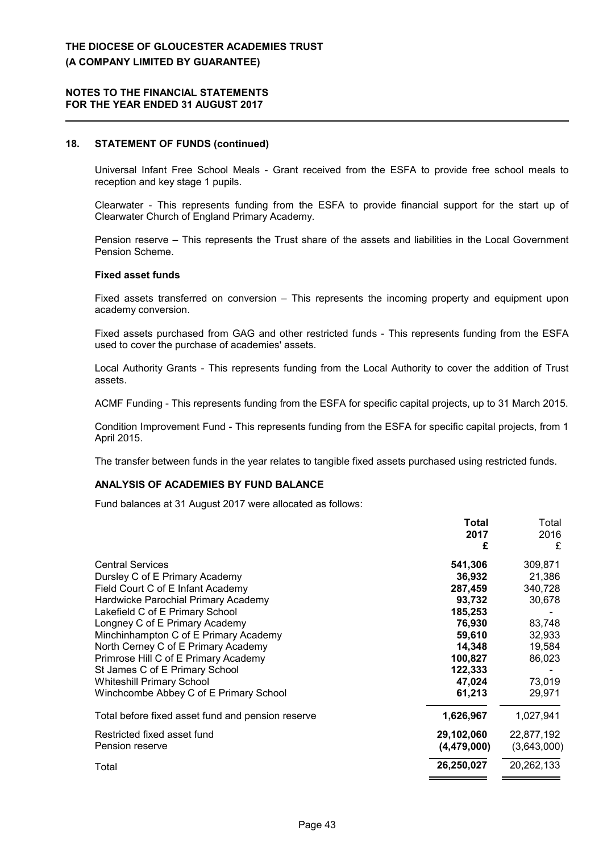### **18. STATEMENT OF FUNDS (continued)**

Universal Infant Free School Meals - Grant received from the ESFA to provide free school meals to reception and key stage 1 pupils.

Clearwater - This represents funding from the ESFA to provide financial support for the start up of Clearwater Church of England Primary Academy.

Pension reserve – This represents the Trust share of the assets and liabilities in the Local Government Pension Scheme.

#### **Fixed asset funds**

Fixed assets transferred on conversion – This represents the incoming property and equipment upon academy conversion.

Fixed assets purchased from GAG and other restricted funds - This represents funding from the ESFA used to cover the purchase of academies' assets.

Local Authority Grants - This represents funding from the Local Authority to cover the addition of Trust assets.

ACMF Funding - This represents funding from the ESFA for specific capital projects, up to 31 March 2015.

Condition Improvement Fund - This represents funding from the ESFA for specific capital projects, from 1 April 2015.

The transfer between funds in the year relates to tangible fixed assets purchased using restricted funds.

### **ANALYSIS OF ACADEMIES BY FUND BALANCE**

Fund balances at 31 August 2017 were allocated as follows:

|                                                   | Total         | Total       |
|---------------------------------------------------|---------------|-------------|
|                                                   | 2017          | 2016        |
|                                                   | £             | £           |
| <b>Central Services</b>                           | 541,306       | 309,871     |
| Dursley C of E Primary Academy                    | 36,932        | 21,386      |
| Field Court C of E Infant Academy                 | 287,459       | 340,728     |
| Hardwicke Parochial Primary Academy               | 93,732        | 30,678      |
| Lakefield C of E Primary School                   | 185,253       |             |
| Longney C of E Primary Academy                    | 76,930        | 83,748      |
| Minchinhampton C of E Primary Academy             | 59,610        | 32,933      |
| North Cerney C of E Primary Academy               | 14,348        | 19,584      |
| Primrose Hill C of E Primary Academy              | 100,827       | 86,023      |
| St James C of E Primary School                    | 122,333       |             |
| <b>Whiteshill Primary School</b>                  | 47,024        | 73,019      |
| Winchcombe Abbey C of E Primary School            | 61,213        | 29,971      |
| Total before fixed asset fund and pension reserve | 1,626,967     | 1,027,941   |
| Restricted fixed asset fund                       | 29,102,060    | 22,877,192  |
| Pension reserve                                   | (4, 479, 000) | (3,643,000) |
| Total                                             | 26,250,027    | 20,262,133  |
|                                                   |               |             |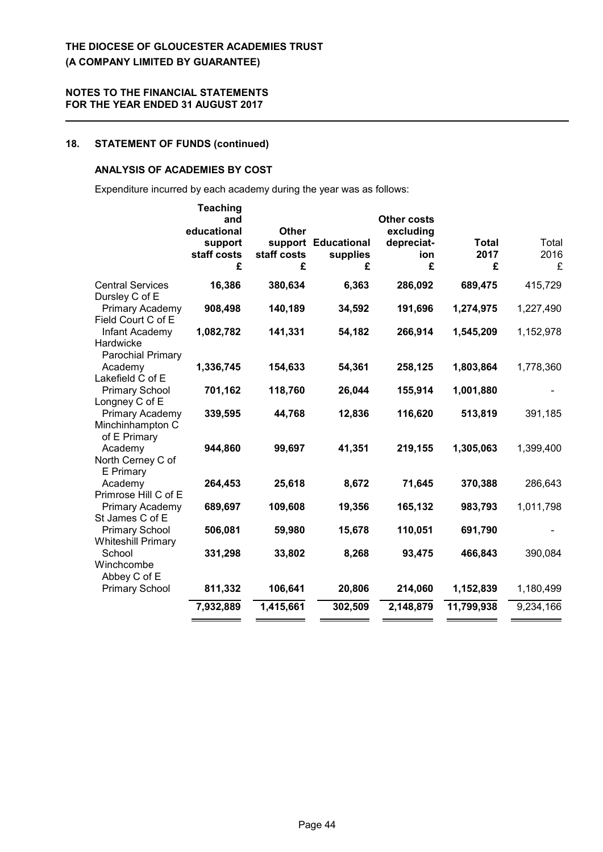# **18. STATEMENT OF FUNDS (continued)**

#### **ANALYSIS OF ACADEMIES BY COST**

Expenditure incurred by each academy during the year was as follows:

|                                                     | <b>Teaching</b><br>and<br>educational<br>support<br>staff costs<br>£ | <b>Other</b><br>staff costs<br>£ | support Educational<br>supplies<br>£ | <b>Other costs</b><br>excluding<br>depreciat-<br>ion<br>£ | <b>Total</b><br>2017<br>£ | Total<br>2016<br>£ |
|-----------------------------------------------------|----------------------------------------------------------------------|----------------------------------|--------------------------------------|-----------------------------------------------------------|---------------------------|--------------------|
| <b>Central Services</b><br>Dursley C of E           | 16,386                                                               | 380,634                          | 6,363                                | 286,092                                                   | 689,475                   | 415,729            |
| Primary Academy<br>Field Court C of E               | 908,498                                                              | 140,189                          | 34,592                               | 191,696                                                   | 1,274,975                 | 1,227,490          |
| Infant Academy<br>Hardwicke<br>Parochial Primary    | 1,082,782                                                            | 141,331                          | 54,182                               | 266,914                                                   | 1,545,209                 | 1,152,978          |
| Academy<br>Lakefield C of E                         | 1,336,745                                                            | 154,633                          | 54,361                               | 258,125                                                   | 1,803,864                 | 1,778,360          |
| <b>Primary School</b><br>Longney C of E             | 701,162                                                              | 118,760                          | 26,044                               | 155,914                                                   | 1,001,880                 |                    |
| Primary Academy<br>Minchinhampton C<br>of E Primary | 339,595                                                              | 44,768                           | 12,836                               | 116,620                                                   | 513,819                   | 391,185            |
| Academy<br>North Cerney C of<br>E Primary           | 944,860                                                              | 99,697                           | 41,351                               | 219,155                                                   | 1,305,063                 | 1,399,400          |
| Academy<br>Primrose Hill C of E                     | 264,453                                                              | 25,618                           | 8,672                                | 71,645                                                    | 370,388                   | 286,643            |
| Primary Academy<br>St James C of E                  | 689,697                                                              | 109,608                          | 19,356                               | 165,132                                                   | 983,793                   | 1,011,798          |
| <b>Primary School</b><br><b>Whiteshill Primary</b>  | 506,081                                                              | 59,980                           | 15,678                               | 110,051                                                   | 691,790                   |                    |
| School<br>Winchcombe<br>Abbey C of E                | 331,298                                                              | 33,802                           | 8,268                                | 93,475                                                    | 466,843                   | 390,084            |
| <b>Primary School</b>                               | 811,332                                                              | 106,641                          | 20,806                               | 214,060                                                   | 1,152,839                 | 1,180,499          |
|                                                     | 7,932,889                                                            | 1,415,661                        | 302,509                              | 2,148,879                                                 | 11,799,938                | 9,234,166          |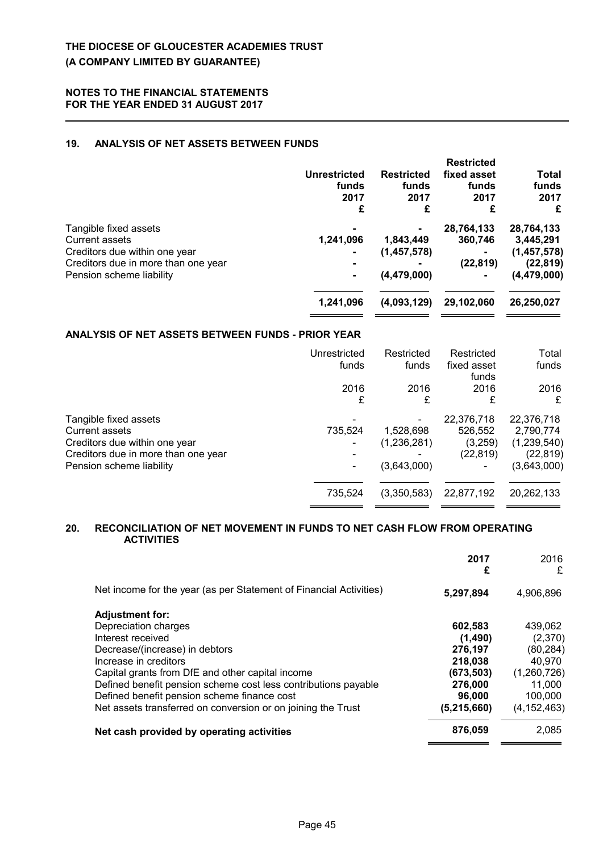### **19. ANALYSIS OF NET ASSETS BETWEEN FUNDS**

|                                     | <b>Unrestricted</b><br>funds<br>2017<br>£ | <b>Restricted</b><br>funds<br>2017<br>£ | <b>Restricted</b><br>fixed asset<br>funds<br>2017<br>£ | Total<br>funds<br>2017<br>£ |
|-------------------------------------|-------------------------------------------|-----------------------------------------|--------------------------------------------------------|-----------------------------|
| Tangible fixed assets               |                                           |                                         | 28,764,133                                             | 28,764,133                  |
| <b>Current assets</b>               | 1,241,096                                 | 1,843,449                               | 360,746                                                | 3,445,291                   |
| Creditors due within one year       |                                           | (1, 457, 578)                           |                                                        | (1,457,578)                 |
| Creditors due in more than one year | $\blacksquare$                            |                                         | (22, 819)                                              | (22, 819)                   |
| Pension scheme liability            | $\blacksquare$                            | (4, 479, 000)                           |                                                        | (4, 479, 000)               |
|                                     | 1,241,096                                 | (4,093,129)                             | 29,102,060                                             | 26,250,027                  |
|                                     |                                           |                                         |                                                        |                             |

#### **ANALYSIS OF NET ASSETS BETWEEN FUNDS - PRIOR YEAR**

|                                                                                                                                                    | Unrestricted<br>funds | Restricted<br>funds                     | Restricted<br>fixed asset<br>funds            | Total<br>funds                                                     |
|----------------------------------------------------------------------------------------------------------------------------------------------------|-----------------------|-----------------------------------------|-----------------------------------------------|--------------------------------------------------------------------|
|                                                                                                                                                    | 2016<br>£             | 2016<br>£                               | 2016<br>£                                     | 2016<br>£                                                          |
| Tangible fixed assets<br><b>Current assets</b><br>Creditors due within one year<br>Creditors due in more than one year<br>Pension scheme liability | 735,524               | 1,528,698<br>(1,236,281)<br>(3,643,000) | 22,376,718<br>526,552<br>(3,259)<br>(22, 819) | 22,376,718<br>2,790,774<br>(1,239,540)<br>(22, 819)<br>(3,643,000) |
|                                                                                                                                                    | 735,524               | (3,350,583)                             | 22,877,192                                    | 20,262,133                                                         |

### **20. RECONCILIATION OF NET MOVEMENT IN FUNDS TO NET CASH FLOW FROM OPERATING ACTIVITIES**

|                                                                    | 2017<br>£     | 2016<br>£     |
|--------------------------------------------------------------------|---------------|---------------|
| Net income for the year (as per Statement of Financial Activities) | 5,297,894     | 4,906,896     |
| <b>Adjustment for:</b>                                             |               |               |
| Depreciation charges                                               | 602,583       | 439,062       |
| Interest received                                                  | (1,490)       | (2,370)       |
| Decrease/(increase) in debtors                                     | 276,197       | (80, 284)     |
| Increase in creditors                                              | 218,038       | 40.970        |
| Capital grants from DfE and other capital income                   | (673, 503)    | (1,260,726)   |
| Defined benefit pension scheme cost less contributions payable     | 276,000       | 11,000        |
| Defined benefit pension scheme finance cost                        | 96,000        | 100,000       |
| Net assets transferred on conversion or on joining the Trust       | (5, 215, 660) | (4, 152, 463) |
| Net cash provided by operating activities                          | 876,059       | 2,085         |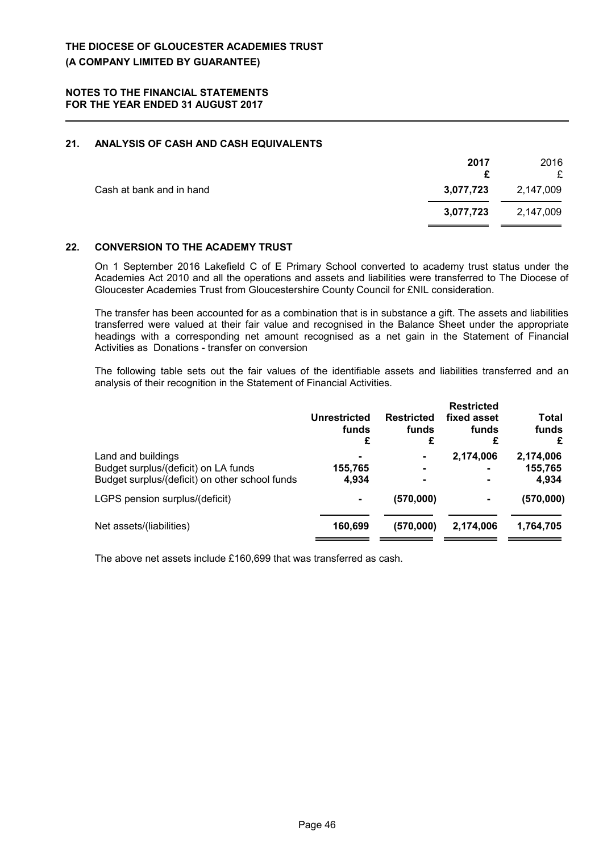### **21. ANALYSIS OF CASH AND CASH EQUIVALENTS**

|                          | 2017      | 2016<br>£ |
|--------------------------|-----------|-----------|
| Cash at bank and in hand | 3,077,723 | 2,147,009 |
|                          | 3,077,723 | 2,147,009 |

#### **22. CONVERSION TO THE ACADEMY TRUST**

On 1 September 2016 Lakefield C of E Primary School converted to academy trust status under the Academies Act 2010 and all the operations and assets and liabilities were transferred to The Diocese of Gloucester Academies Trust from Gloucestershire County Council for £NIL consideration.

The transfer has been accounted for as a combination that is in substance a gift. The assets and liabilities transferred were valued at their fair value and recognised in the Balance Sheet under the appropriate headings with a corresponding net amount recognised as a net gain in the Statement of Financial Activities as Donations - transfer on conversion

The following table sets out the fair values of the identifiable assets and liabilities transferred and an analysis of their recognition in the Statement of Financial Activities.

|                                                            | Unrestricted<br>funds<br>£ | <b>Restricted</b><br>funds<br>£  | <b>Restricted</b><br>fixed asset<br>funds | Total<br>funds<br>£  |
|------------------------------------------------------------|----------------------------|----------------------------------|-------------------------------------------|----------------------|
| Land and buildings<br>Budget surplus/(deficit) on LA funds | $\blacksquare$<br>155,765  | $\blacksquare$<br>$\blacksquare$ | 2,174,006<br>$\blacksquare$               | 2,174,006<br>155,765 |
| Budget surplus/(deficit) on other school funds             | 4.934                      | $\blacksquare$                   | $\blacksquare$                            | 4,934                |
| LGPS pension surplus/(deficit)                             | $\blacksquare$             | (570,000)                        | $\blacksquare$                            | (570,000)            |
| Net assets/(liabilities)                                   | 160,699                    | (570,000)                        | 2,174,006                                 | 1,764,705            |

The above net assets include £160,699 that was transferred as cash.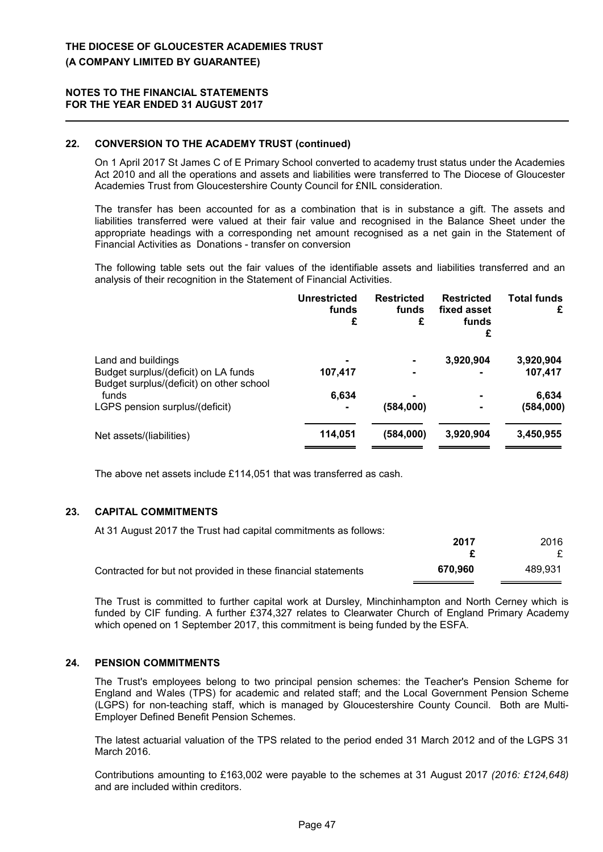### **22. CONVERSION TO THE ACADEMY TRUST (continued)**

On 1 April 2017 St James C of E Primary School converted to academy trust status under the Academies Act 2010 and all the operations and assets and liabilities were transferred to The Diocese of Gloucester Academies Trust from Gloucestershire County Council for £NIL consideration.

The transfer has been accounted for as a combination that is in substance a gift. The assets and liabilities transferred were valued at their fair value and recognised in the Balance Sheet under the appropriate headings with a corresponding net amount recognised as a net gain in the Statement of Financial Activities as Donations - transfer on conversion

The following table sets out the fair values of the identifiable assets and liabilities transferred and an analysis of their recognition in the Statement of Financial Activities.

| <b>Unrestricted</b><br>funds<br>£ | <b>Restricted</b><br>funds<br>£ | <b>Restricted</b><br>fixed asset<br>funds<br>£ | <b>Total funds</b><br>£ |
|-----------------------------------|---------------------------------|------------------------------------------------|-------------------------|
| $\blacksquare$<br>107,417         |                                 | 3,920,904                                      | 3,920,904<br>107,417    |
|                                   |                                 |                                                | 6,634                   |
| ۰                                 | (584,000)                       |                                                | (584,000)               |
| 114,051                           | (584,000)                       | 3,920,904                                      | 3,450,955               |
|                                   | 6,634                           |                                                |                         |

The above net assets include £114,051 that was transferred as cash.

#### **23. CAPITAL COMMITMENTS**

At 31 August 2017 the Trust had capital commitments as follows:

|                                                               | 2017    | 2016    |
|---------------------------------------------------------------|---------|---------|
|                                                               |         |         |
| Contracted for but not provided in these financial statements | 670.960 | 489.931 |

The Trust is committed to further capital work at Dursley, Minchinhampton and North Cerney which is funded by CIF funding. A further £374,327 relates to Clearwater Church of England Primary Academy which opened on 1 September 2017, this commitment is being funded by the ESFA.

### **24. PENSION COMMITMENTS**

The Trust's employees belong to two principal pension schemes: the Teacher's Pension Scheme for England and Wales (TPS) for academic and related staff; and the Local Government Pension Scheme (LGPS) for non-teaching staff, which is managed by Gloucestershire County Council. Both are Multi-Employer Defined Benefit Pension Schemes.

The latest actuarial valuation of the TPS related to the period ended 31 March 2012 and of the LGPS 31 March 2016.

Contributions amounting to £163,002 were payable to the schemes at 31 August 2017 *(2016: £124,648)* and are included within creditors.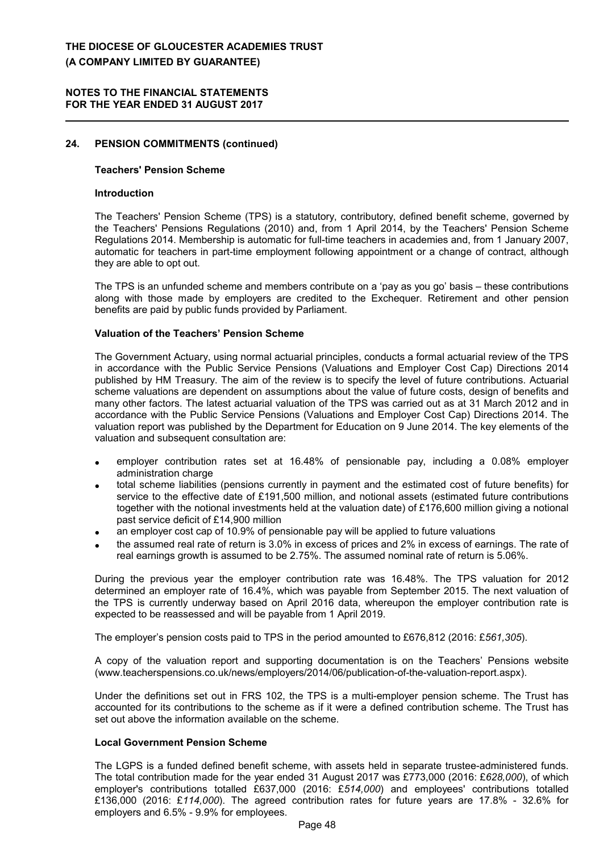#### **NOTES TO THE FINANCIAL STATEMENTS FOR THE YEAR ENDED 31 AUGUST 2017**

### **24. PENSION COMMITMENTS (continued)**

#### **Teachers' Pension Scheme**

### **Introduction**

The Teachers' Pension Scheme (TPS) is a statutory, contributory, defined benefit scheme, governed by the Teachers' Pensions Regulations (2010) and, from 1 April 2014, by the Teachers' Pension Scheme Regulations 2014. Membership is automatic for full-time teachers in academies and, from 1 January 2007, automatic for teachers in part-time employment following appointment or a change of contract, although they are able to opt out.

The TPS is an unfunded scheme and members contribute on a 'pay as you go' basis – these contributions along with those made by employers are credited to the Exchequer. Retirement and other pension benefits are paid by public funds provided by Parliament.

#### **Valuation of the Teachers' Pension Scheme**

The Government Actuary, using normal actuarial principles, conducts a formal actuarial review of the TPS in accordance with the Public Service Pensions (Valuations and Employer Cost Cap) Directions 2014 published by HM Treasury. The aim of the review is to specify the level of future contributions. Actuarial scheme valuations are dependent on assumptions about the value of future costs, design of benefits and many other factors. The latest actuarial valuation of the TPS was carried out as at 31 March 2012 and in accordance with the Public Service Pensions (Valuations and Employer Cost Cap) Directions 2014. The valuation report was published by the Department for Education on 9 June 2014. The key elements of the valuation and subsequent consultation are:

- employer contribution rates set at 16.48% of pensionable pay, including a 0.08% employer administration charge
- total scheme liabilities (pensions currently in payment and the estimated cost of future benefits) for service to the effective date of £191,500 million, and notional assets (estimated future contributions together with the notional investments held at the valuation date) of £176,600 million giving a notional past service deficit of £14,900 million
- an employer cost cap of 10.9% of pensionable pay will be applied to future valuations
- the assumed real rate of return is 3.0% in excess of prices and 2% in excess of earnings. The rate of real earnings growth is assumed to be 2.75%. The assumed nominal rate of return is 5.06%.

During the previous year the employer contribution rate was 16.48%. The TPS valuation for 2012 determined an employer rate of 16.4%, which was payable from September 2015. The next valuation of the TPS is currently underway based on April 2016 data, whereupon the employer contribution rate is expected to be reassessed and will be payable from 1 April 2019.

The employer's pension costs paid to TPS in the period amounted to £676,812 (2016: £*561,305*).

A copy of the valuation report and supporting documentation is on the Teachers' Pensions website (www.teacherspensions.co.uk/news/employers/2014/06/publication-of-the-valuation-report.aspx).

Under the definitions set out in FRS 102, the TPS is a multi-employer pension scheme. The Trust has accounted for its contributions to the scheme as if it were a defined contribution scheme. The Trust has set out above the information available on the scheme.

#### **Local Government Pension Scheme**

The LGPS is a funded defined benefit scheme, with assets held in separate trustee-administered funds. The total contribution made for the year ended 31 August 2017 was £773,000 (2016: £*628,000*), of which employer's contributions totalled £637,000 (2016: £*514,000*) and employees' contributions totalled £136,000 (2016: £*114,000*). The agreed contribution rates for future years are 17.8% - 32.6% for employers and 6.5% - 9.9% for employees.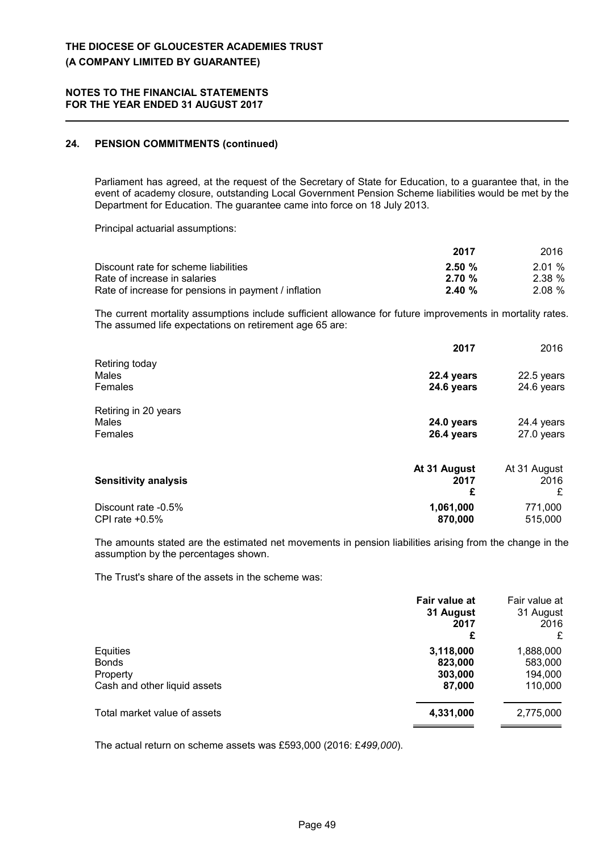### **24. PENSION COMMITMENTS (continued)**

Parliament has agreed, at the request of the Secretary of State for Education, to a guarantee that, in the event of academy closure, outstanding Local Government Pension Scheme liabilities would be met by the Department for Education. The guarantee came into force on 18 July 2013.

Principal actuarial assumptions:

|                                                      | 2017      | 2016  |
|------------------------------------------------------|-----------|-------|
| Discount rate for scheme liabilities                 | $2.50 \%$ | 2.01% |
| Rate of increase in salaries                         | $2.70 \%$ | 2.38% |
| Rate of increase for pensions in payment / inflation | $2.40 \%$ | 2.08% |

The current mortality assumptions include sufficient allowance for future improvements in mortality rates. The assumed life expectations on retirement age 65 are:

|                                          | 2017                      | 2016                      |
|------------------------------------------|---------------------------|---------------------------|
| Retiring today<br>Males<br>Females       | 22.4 years<br>24.6 years  | 22.5 years<br>24.6 years  |
| Retiring in 20 years<br>Males<br>Females | 24.0 years<br>26.4 years  | 24.4 years<br>27.0 years  |
| <b>Sensitivity analysis</b>              | At 31 August<br>2017<br>£ | At 31 August<br>2016<br>£ |
| Discount rate -0.5%<br>CPI rate $+0.5%$  | 1,061,000<br>870,000      | 771,000<br>515,000        |

The amounts stated are the estimated net movements in pension liabilities arising from the change in the assumption by the percentages shown.

The Trust's share of the assets in the scheme was:

|                                                                      | Fair value at<br>31 August<br>2017<br>£   | Fair value at<br>31 August<br>2016<br>£    |
|----------------------------------------------------------------------|-------------------------------------------|--------------------------------------------|
| Equities<br><b>Bonds</b><br>Property<br>Cash and other liquid assets | 3,118,000<br>823,000<br>303,000<br>87,000 | 1,888,000<br>583,000<br>194,000<br>110,000 |
| Total market value of assets                                         | 4,331,000                                 | 2,775,000                                  |

The actual return on scheme assets was £593,000 (2016: £*499,000*).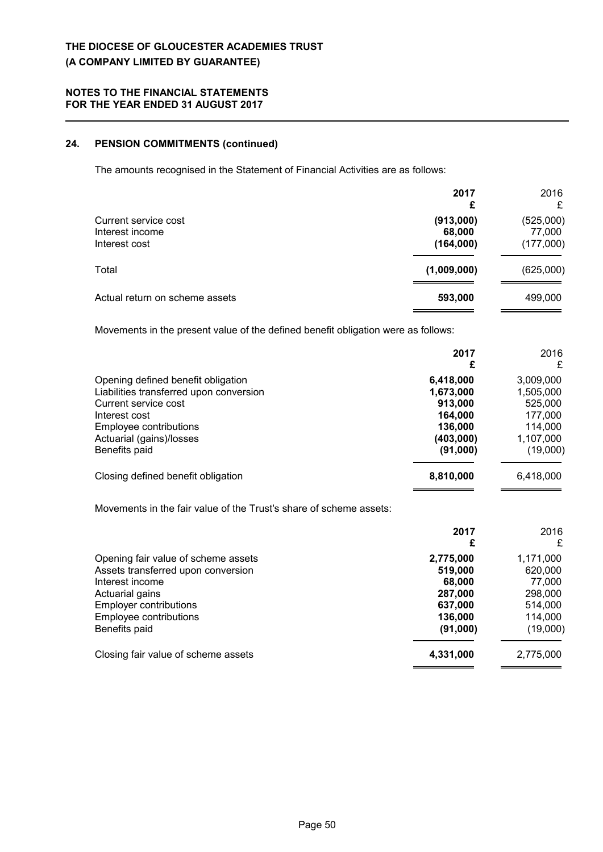### **24. PENSION COMMITMENTS (continued)**

The amounts recognised in the Statement of Financial Activities are as follows:

|                                                          | 2017<br>£                        | 2016<br>£                        |
|----------------------------------------------------------|----------------------------------|----------------------------------|
| Current service cost<br>Interest income<br>Interest cost | (913,000)<br>68,000<br>(164,000) | (525,000)<br>77,000<br>(177,000) |
| Total                                                    | (1,009,000)                      | (625,000)                        |
| Actual return on scheme assets                           | 593,000                          | 499,000                          |

Movements in the present value of the defined benefit obligation were as follows:

|                                                                                                                                                                                               | 2017<br>£                                                                        | 2016<br>£                                                                        |
|-----------------------------------------------------------------------------------------------------------------------------------------------------------------------------------------------|----------------------------------------------------------------------------------|----------------------------------------------------------------------------------|
| Opening defined benefit obligation<br>Liabilities transferred upon conversion<br>Current service cost<br>Interest cost<br>Employee contributions<br>Actuarial (gains)/losses<br>Benefits paid | 6,418,000<br>1,673,000<br>913,000<br>164,000<br>136,000<br>(403,000)<br>(91,000) | 3,009,000<br>1,505,000<br>525,000<br>177,000<br>114,000<br>1,107,000<br>(19,000) |
| Closing defined benefit obligation                                                                                                                                                            | 8,810,000                                                                        | 6,418,000                                                                        |

Movements in the fair value of the Trust's share of scheme assets:

|                                     | 2017<br>£ | 2016<br>£ |
|-------------------------------------|-----------|-----------|
|                                     |           |           |
| Opening fair value of scheme assets | 2,775,000 | 1,171,000 |
| Assets transferred upon conversion  | 519,000   | 620,000   |
| Interest income                     | 68,000    | 77,000    |
| Actuarial gains                     | 287,000   | 298,000   |
| <b>Employer contributions</b>       | 637,000   | 514,000   |
| Employee contributions              | 136,000   | 114,000   |
| Benefits paid                       | (91,000)  | (19,000)  |
| Closing fair value of scheme assets | 4,331,000 | 2,775,000 |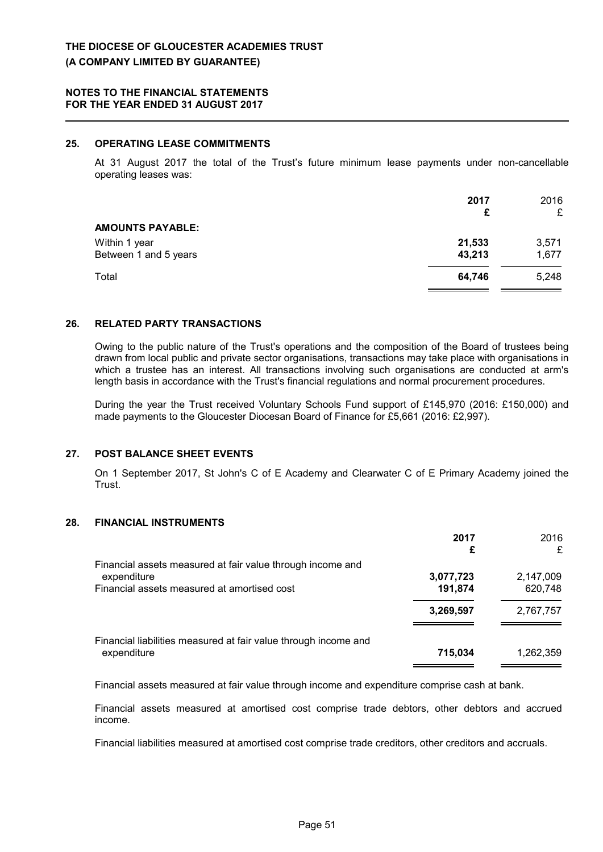### **25. OPERATING LEASE COMMITMENTS**

At 31 August 2017 the total of the Trust's future minimum lease payments under non-cancellable operating leases was:

|                                        | 2017<br>£        | 2016<br>£      |
|----------------------------------------|------------------|----------------|
| <b>AMOUNTS PAYABLE:</b>                |                  |                |
| Within 1 year<br>Between 1 and 5 years | 21,533<br>43,213 | 3,571<br>1,677 |
| Total                                  | 64,746           | 5,248          |

#### **26. RELATED PARTY TRANSACTIONS**

Owing to the public nature of the Trust's operations and the composition of the Board of trustees being drawn from local public and private sector organisations, transactions may take place with organisations in which a trustee has an interest. All transactions involving such organisations are conducted at arm's length basis in accordance with the Trust's financial regulations and normal procurement procedures.

During the year the Trust received Voluntary Schools Fund support of £145,970 (2016: £150,000) and made payments to the Gloucester Diocesan Board of Finance for £5,661 (2016: £2,997).

#### **27. POST BALANCE SHEET EVENTS**

On 1 September 2017, St John's C of E Academy and Clearwater C of E Primary Academy joined the Trust.

### **28. FINANCIAL INSTRUMENTS**

|                                                                                                                          | 2017<br>£            | 2016<br>£            |
|--------------------------------------------------------------------------------------------------------------------------|----------------------|----------------------|
| Financial assets measured at fair value through income and<br>expenditure<br>Financial assets measured at amortised cost | 3,077,723<br>191,874 | 2,147,009<br>620,748 |
|                                                                                                                          | 3,269,597            | 2,767,757            |
| Financial liabilities measured at fair value through income and<br>expenditure                                           | 715,034              | 1,262,359            |

Financial assets measured at fair value through income and expenditure comprise cash at bank.

Financial assets measured at amortised cost comprise trade debtors, other debtors and accrued income.

Financial liabilities measured at amortised cost comprise trade creditors, other creditors and accruals.